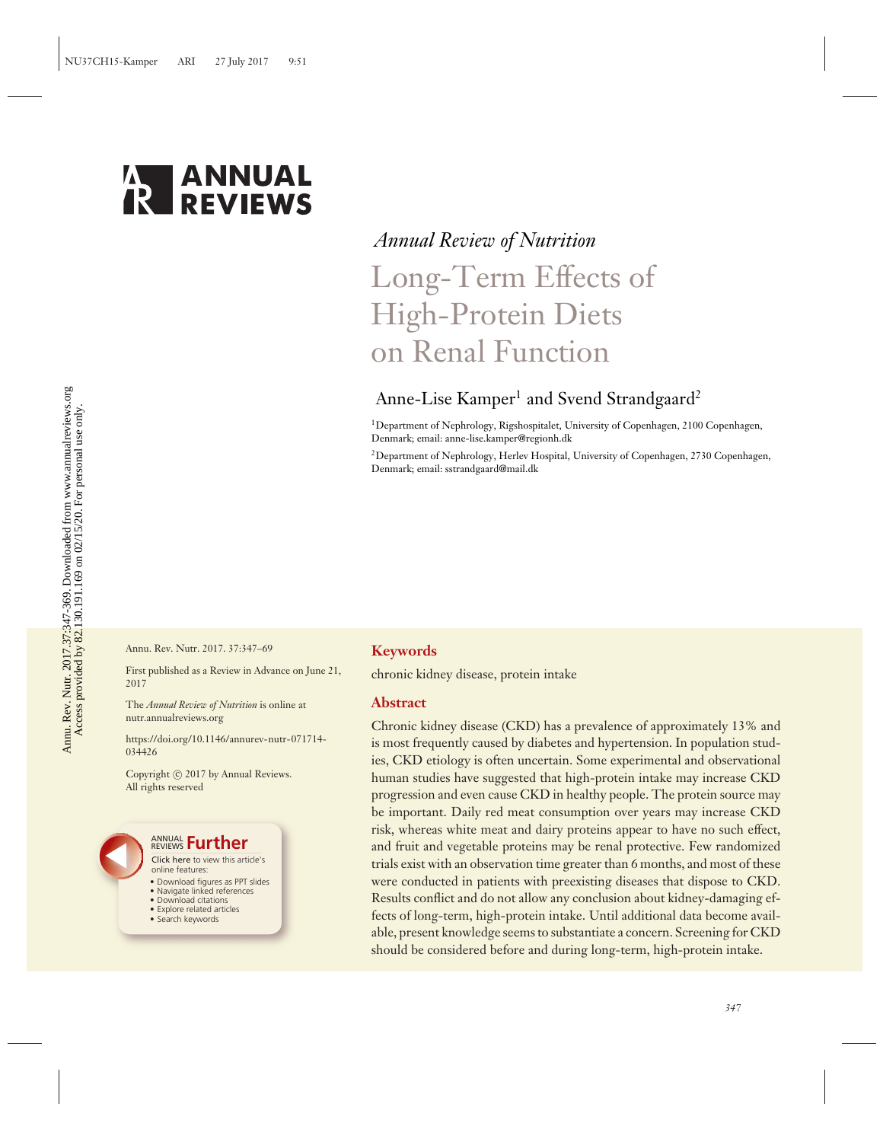

# *Annual Review of Nutrition* Long-Term Effects of High-Protein Diets on Renal Function

## Anne-Lise Kamper<sup>1</sup> and Svend Strandgaard<sup>2</sup>

1Department of Nephrology, Rigshospitalet, University of Copenhagen, 2100 Copenhagen, Denmark; email: anne-lise.kamper@regionh.dk

2Department of Nephrology, Herlev Hospital, University of Copenhagen, 2730 Copenhagen, Denmark; email: sstrandgaard@mail.dk

Annu. Rev. Nutr. 2017. 37:347–69

First published as a Review in Advance on June 21, 2017

The *Annual Review of Nutrition* is online at nutr.annualreviews.org

[https://doi.org/10.1146/annurev-nutr-071714-](https://doi.org/10.1146/annurev-nutr-071714-034426) [034426](https://doi.org/10.1146/annurev-nutr-071714-034426)

Copyright © 2017 by Annual Reviews. All rights reserved



## **Keywords**

chronic kidney disease, protein intake

#### **Abstract**

Chronic kidney disease (CKD) has a prevalence of approximately 13% and is most frequently caused by diabetes and hypertension. In population studies, CKD etiology is often uncertain. Some experimental and observational human studies have suggested that high-protein intake may increase CKD progression and even cause CKD in healthy people. The protein source may be important. Daily red meat consumption over years may increase CKD risk, whereas white meat and dairy proteins appear to have no such effect, and fruit and vegetable proteins may be renal protective. Few randomized trials exist with an observation time greater than 6 months, and most of these were conducted in patients with preexisting diseases that dispose to CKD. Results conflict and do not allow any conclusion about kidney-damaging effects of long-term, high-protein intake. Until additional data become available, present knowledge seems to substantiate a concern. Screening for CKD should be considered before and during long-term, high-protein intake.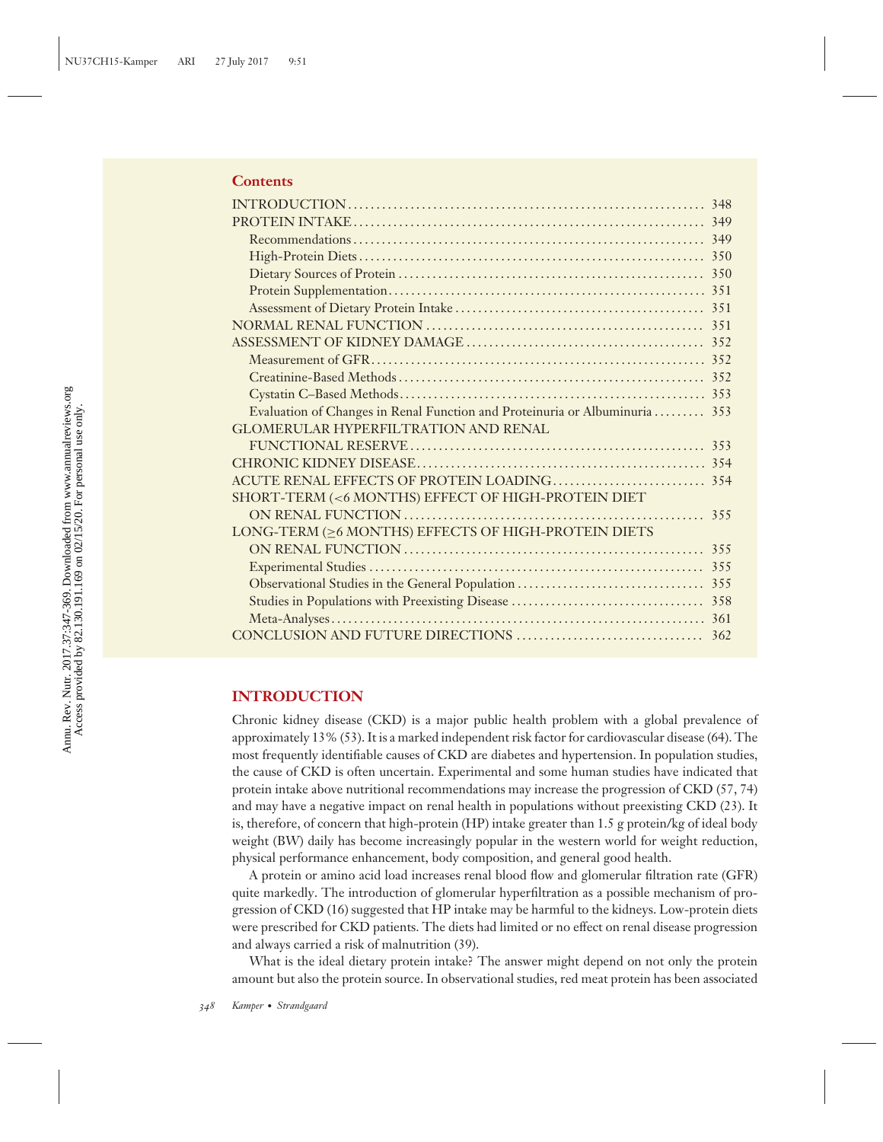## **Contents**

| Evaluation of Changes in Renal Function and Proteinuria or Albuminuria  353 |  |
|-----------------------------------------------------------------------------|--|
| <b>GLOMERULAR HYPERFILTRATION AND RENAL</b>                                 |  |
|                                                                             |  |
|                                                                             |  |
|                                                                             |  |
| SHORT-TERM (<6 MONTHS) EFFECT OF HIGH-PROTEIN DIET                          |  |
|                                                                             |  |
| LONG-TERM (>6 MONTHS) EFFECTS OF HIGH-PROTEIN DIETS                         |  |
|                                                                             |  |
|                                                                             |  |
|                                                                             |  |
|                                                                             |  |
|                                                                             |  |
|                                                                             |  |

## **INTRODUCTION**

Chronic kidney disease (CKD) is a major public health problem with a global prevalence of approximately 13% (53). It is a marked independent risk factor for cardiovascular disease (64). The most frequently identifiable causes of CKD are diabetes and hypertension. In population studies, the cause of CKD is often uncertain. Experimental and some human studies have indicated that protein intake above nutritional recommendations may increase the progression of CKD (57, 74) and may have a negative impact on renal health in populations without preexisting CKD (23). It is, therefore, of concern that high-protein (HP) intake greater than 1.5 g protein/kg of ideal body weight (BW) daily has become increasingly popular in the western world for weight reduction, physical performance enhancement, body composition, and general good health.

A protein or amino acid load increases renal blood flow and glomerular filtration rate (GFR) quite markedly. The introduction of glomerular hyperfiltration as a possible mechanism of progression of CKD (16) suggested that HP intake may be harmful to the kidneys. Low-protein diets were prescribed for CKD patients. The diets had limited or no effect on renal disease progression and always carried a risk of malnutrition (39).

What is the ideal dietary protein intake? The answer might depend on not only the protein amount but also the protein source. In observational studies, red meat protein has been associated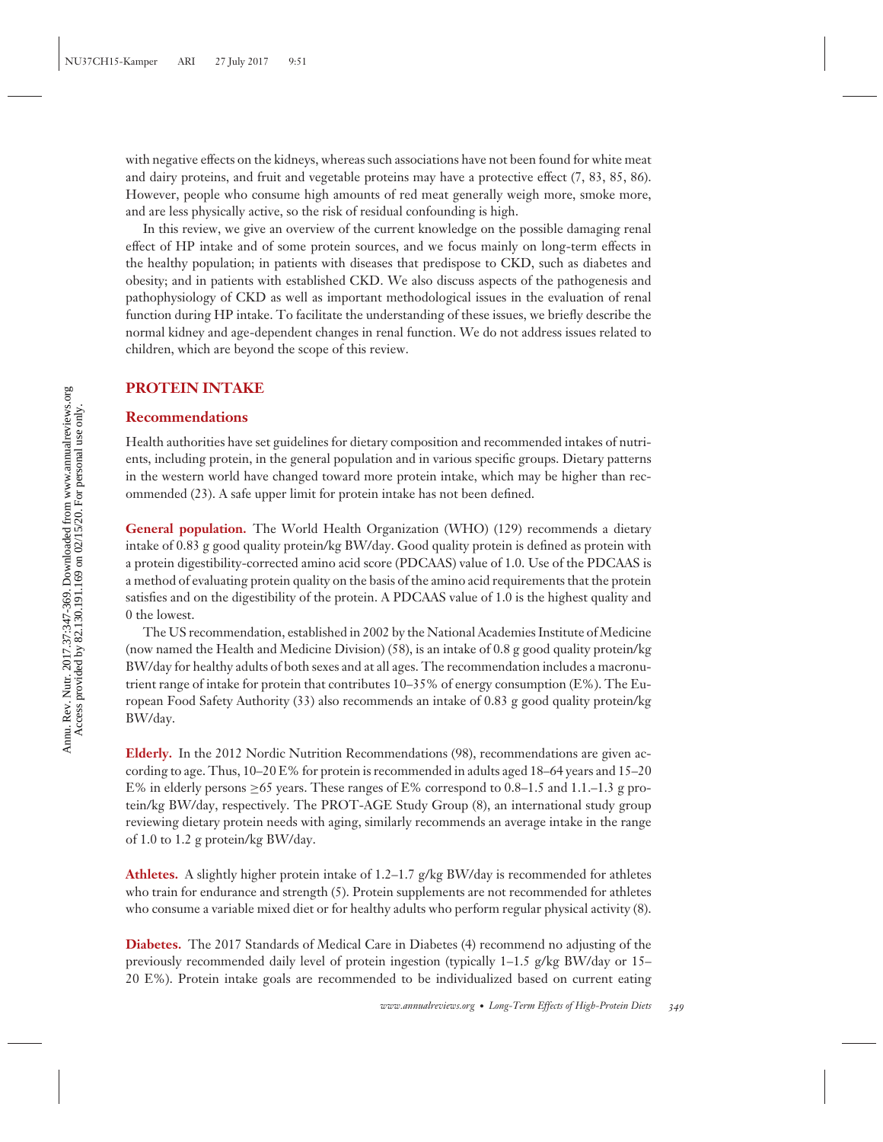with negative effects on the kidneys, whereas such associations have not been found for white meat and dairy proteins, and fruit and vegetable proteins may have a protective effect (7, 83, 85, 86). However, people who consume high amounts of red meat generally weigh more, smoke more, and are less physically active, so the risk of residual confounding is high.

In this review, we give an overview of the current knowledge on the possible damaging renal effect of HP intake and of some protein sources, and we focus mainly on long-term effects in the healthy population; in patients with diseases that predispose to CKD, such as diabetes and obesity; and in patients with established CKD. We also discuss aspects of the pathogenesis and pathophysiology of CKD as well as important methodological issues in the evaluation of renal function during HP intake. To facilitate the understanding of these issues, we briefly describe the normal kidney and age-dependent changes in renal function. We do not address issues related to children, which are beyond the scope of this review.

## **PROTEIN INTAKE**

#### **Recommendations**

Health authorities have set guidelines for dietary composition and recommended intakes of nutrients, including protein, in the general population and in various specific groups. Dietary patterns in the western world have changed toward more protein intake, which may be higher than recommended (23). A safe upper limit for protein intake has not been defined.

**General population.** The World Health Organization (WHO) (129) recommends a dietary intake of 0.83 g good quality protein/kg BW/day. Good quality protein is defined as protein with a protein digestibility-corrected amino acid score (PDCAAS) value of 1.0. Use of the PDCAAS is a method of evaluating protein quality on the basis of the amino acid requirements that the protein satisfies and on the digestibility of the protein. A PDCAAS value of 1.0 is the highest quality and 0 the lowest.

The US recommendation, established in 2002 by the National Academies Institute of Medicine (now named the Health and Medicine Division) (58), is an intake of 0.8 g good quality protein/kg BW/day for healthy adults of both sexes and at all ages. The recommendation includes a macronutrient range of intake for protein that contributes  $10-35\%$  of energy consumption (E%). The European Food Safety Authority (33) also recommends an intake of 0.83 g good quality protein/kg BW/day.

**Elderly.** In the 2012 Nordic Nutrition Recommendations (98), recommendations are given according to age. Thus, 10–20 E% for protein is recommended in adults aged 18–64 years and 15–20 E% in elderly persons >65 years. These ranges of E% correspond to 0.8–1.5 and 1.1–1.3 g protein/kg BW/day, respectively. The PROT-AGE Study Group (8), an international study group reviewing dietary protein needs with aging, similarly recommends an average intake in the range of 1.0 to 1.2 g protein/kg BW/day.

**Athletes.** A slightly higher protein intake of 1.2–1.7  $g/kg$  BW/day is recommended for athletes who train for endurance and strength (5). Protein supplements are not recommended for athletes who consume a variable mixed diet or for healthy adults who perform regular physical activity (8).

**Diabetes.** The 2017 Standards of Medical Care in Diabetes (4) recommend no adjusting of the previously recommended daily level of protein ingestion (typically 1–1.5 g/kg BW/day or 15– 20 E%). Protein intake goals are recommended to be individualized based on current eating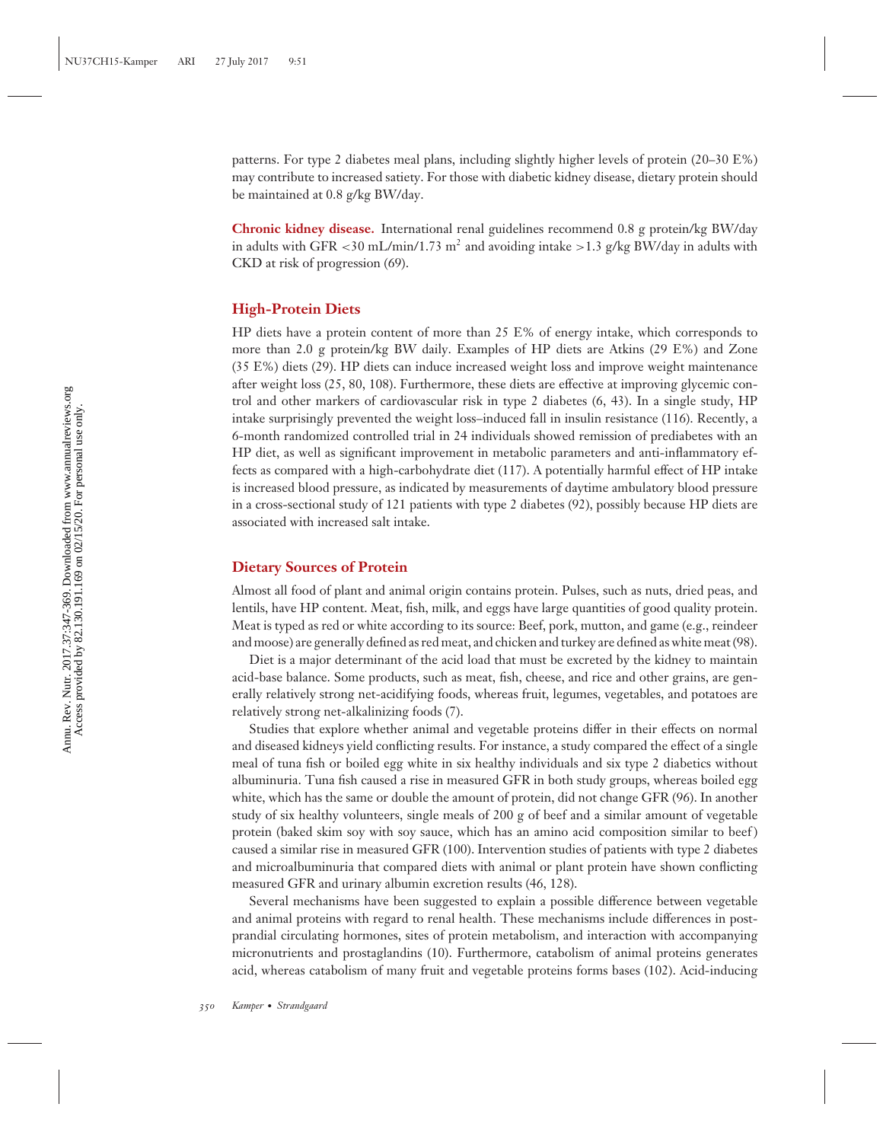patterns. For type 2 diabetes meal plans, including slightly higher levels of protein (20–30 E%) may contribute to increased satiety. For those with diabetic kidney disease, dietary protein should be maintained at 0.8 g/kg BW/day.

**Chronic kidney disease.** International renal guidelines recommend 0.8 g protein/kg BW/day in adults with GFR  $\lt$ 30 mL/min/1.73 m<sup>2</sup> and avoiding intake  $\gt$ 1.3 g/kg BW/day in adults with CKD at risk of progression (69).

## **High-Protein Diets**

HP diets have a protein content of more than 25 E% of energy intake, which corresponds to more than 2.0 g protein/kg BW daily. Examples of HP diets are Atkins (29 E%) and Zone (35 E%) diets (29). HP diets can induce increased weight loss and improve weight maintenance after weight loss (25, 80, 108). Furthermore, these diets are effective at improving glycemic control and other markers of cardiovascular risk in type 2 diabetes (6, 43). In a single study, HP intake surprisingly prevented the weight loss–induced fall in insulin resistance (116). Recently, a 6-month randomized controlled trial in 24 individuals showed remission of prediabetes with an HP diet, as well as significant improvement in metabolic parameters and anti-inflammatory effects as compared with a high-carbohydrate diet (117). A potentially harmful effect of HP intake is increased blood pressure, as indicated by measurements of daytime ambulatory blood pressure in a cross-sectional study of 121 patients with type 2 diabetes (92), possibly because HP diets are associated with increased salt intake.

## **Dietary Sources of Protein**

Almost all food of plant and animal origin contains protein. Pulses, such as nuts, dried peas, and lentils, have HP content. Meat, fish, milk, and eggs have large quantities of good quality protein. Meat is typed as red or white according to its source: Beef, pork, mutton, and game (e.g., reindeer and moose) are generally defined as red meat, and chicken and turkey are defined as white meat (98).

Diet is a major determinant of the acid load that must be excreted by the kidney to maintain acid-base balance. Some products, such as meat, fish, cheese, and rice and other grains, are generally relatively strong net-acidifying foods, whereas fruit, legumes, vegetables, and potatoes are relatively strong net-alkalinizing foods (7).

Studies that explore whether animal and vegetable proteins differ in their effects on normal and diseased kidneys yield conflicting results. For instance, a study compared the effect of a single meal of tuna fish or boiled egg white in six healthy individuals and six type 2 diabetics without albuminuria. Tuna fish caused a rise in measured GFR in both study groups, whereas boiled egg white, which has the same or double the amount of protein, did not change GFR (96). In another study of six healthy volunteers, single meals of 200 g of beef and a similar amount of vegetable protein (baked skim soy with soy sauce, which has an amino acid composition similar to beef ) caused a similar rise in measured GFR (100). Intervention studies of patients with type 2 diabetes and microalbuminuria that compared diets with animal or plant protein have shown conflicting measured GFR and urinary albumin excretion results (46, 128).

Several mechanisms have been suggested to explain a possible difference between vegetable and animal proteins with regard to renal health. These mechanisms include differences in postprandial circulating hormones, sites of protein metabolism, and interaction with accompanying micronutrients and prostaglandins (10). Furthermore, catabolism of animal proteins generates acid, whereas catabolism of many fruit and vegetable proteins forms bases (102). Acid-inducing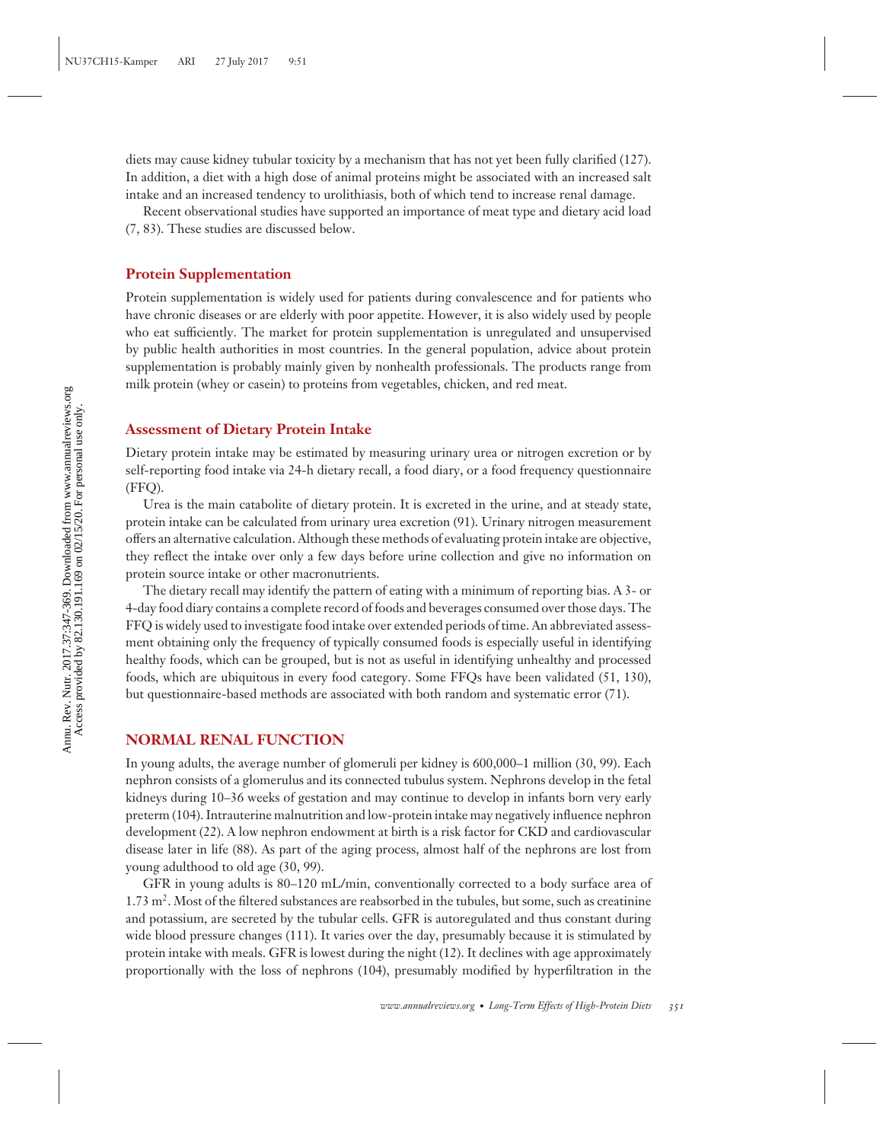diets may cause kidney tubular toxicity by a mechanism that has not yet been fully clarified (127). In addition, a diet with a high dose of animal proteins might be associated with an increased salt intake and an increased tendency to urolithiasis, both of which tend to increase renal damage.

Recent observational studies have supported an importance of meat type and dietary acid load (7, 83). These studies are discussed below.

#### **Protein Supplementation**

Protein supplementation is widely used for patients during convalescence and for patients who have chronic diseases or are elderly with poor appetite. However, it is also widely used by people who eat sufficiently. The market for protein supplementation is unregulated and unsupervised by public health authorities in most countries. In the general population, advice about protein supplementation is probably mainly given by nonhealth professionals. The products range from milk protein (whey or casein) to proteins from vegetables, chicken, and red meat.

## **Assessment of Dietary Protein Intake**

Dietary protein intake may be estimated by measuring urinary urea or nitrogen excretion or by self-reporting food intake via 24-h dietary recall, a food diary, or a food frequency questionnaire (FFQ).

Urea is the main catabolite of dietary protein. It is excreted in the urine, and at steady state, protein intake can be calculated from urinary urea excretion (91). Urinary nitrogen measurement offers an alternative calculation. Although these methods of evaluating protein intake are objective, they reflect the intake over only a few days before urine collection and give no information on protein source intake or other macronutrients.

The dietary recall may identify the pattern of eating with a minimum of reporting bias. A 3- or 4-day food diary contains a complete record of foods and beverages consumed over those days. The FFQ is widely used to investigate food intake over extended periods of time. An abbreviated assessment obtaining only the frequency of typically consumed foods is especially useful in identifying healthy foods, which can be grouped, but is not as useful in identifying unhealthy and processed foods, which are ubiquitous in every food category. Some FFQs have been validated (51, 130), but questionnaire-based methods are associated with both random and systematic error (71).

#### **NORMAL RENAL FUNCTION**

In young adults, the average number of glomeruli per kidney is 600,000–1 million (30, 99). Each nephron consists of a glomerulus and its connected tubulus system. Nephrons develop in the fetal kidneys during 10–36 weeks of gestation and may continue to develop in infants born very early preterm (104). Intrauterine malnutrition and low-protein intake may negatively influence nephron development (22). A low nephron endowment at birth is a risk factor for CKD and cardiovascular disease later in life (88). As part of the aging process, almost half of the nephrons are lost from young adulthood to old age (30, 99).

GFR in young adults is 80–120 mL/min, conventionally corrected to a body surface area of  $1.73 \text{ m}^2$ . Most of the filtered substances are reabsorbed in the tubules, but some, such as creatinine and potassium, are secreted by the tubular cells. GFR is autoregulated and thus constant during wide blood pressure changes (111). It varies over the day, presumably because it is stimulated by protein intake with meals. GFR is lowest during the night (12). It declines with age approximately proportionally with the loss of nephrons (104), presumably modified by hyperfiltration in the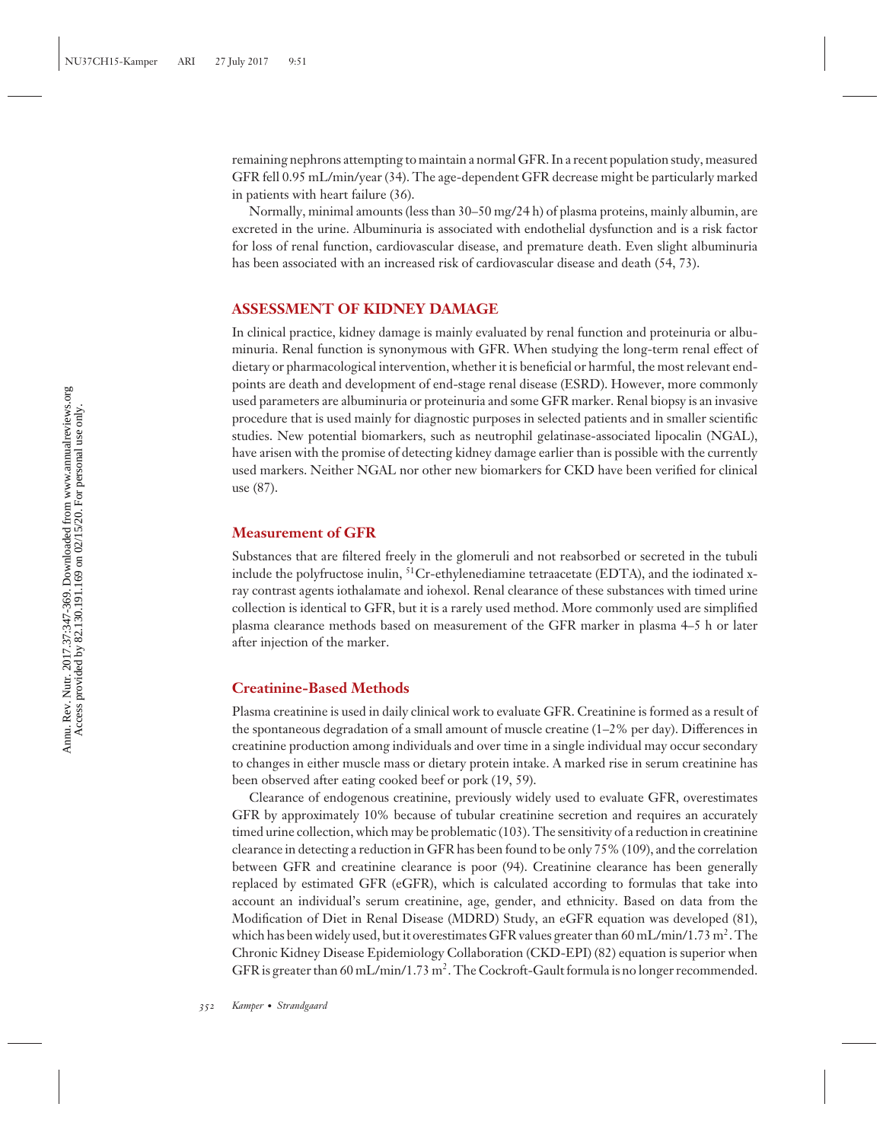remaining nephrons attempting to maintain a normal GFR. In a recent population study, measured GFR fell 0.95 mL/min/year (34). The age-dependent GFR decrease might be particularly marked in patients with heart failure (36).

Normally, minimal amounts (less than  $30-50$  mg/24 h) of plasma proteins, mainly albumin, are excreted in the urine. Albuminuria is associated with endothelial dysfunction and is a risk factor for loss of renal function, cardiovascular disease, and premature death. Even slight albuminuria has been associated with an increased risk of cardiovascular disease and death (54, 73).

## **ASSESSMENT OF KIDNEY DAMAGE**

In clinical practice, kidney damage is mainly evaluated by renal function and proteinuria or albuminuria. Renal function is synonymous with GFR. When studying the long-term renal effect of dietary or pharmacological intervention, whether it is beneficial or harmful, the most relevant endpoints are death and development of end-stage renal disease (ESRD). However, more commonly used parameters are albuminuria or proteinuria and some GFR marker. Renal biopsy is an invasive procedure that is used mainly for diagnostic purposes in selected patients and in smaller scientific studies. New potential biomarkers, such as neutrophil gelatinase-associated lipocalin (NGAL), have arisen with the promise of detecting kidney damage earlier than is possible with the currently used markers. Neither NGAL nor other new biomarkers for CKD have been verified for clinical use (87).

## **Measurement of GFR**

Substances that are filtered freely in the glomeruli and not reabsorbed or secreted in the tubuli include the polyfructose inulin,  ${}^{51}$ Cr-ethylenediamine tetraacetate (EDTA), and the iodinated xray contrast agents iothalamate and iohexol. Renal clearance of these substances with timed urine collection is identical to GFR, but it is a rarely used method. More commonly used are simplified plasma clearance methods based on measurement of the GFR marker in plasma 4–5 h or later after injection of the marker.

## **Creatinine-Based Methods**

Plasma creatinine is used in daily clinical work to evaluate GFR. Creatinine is formed as a result of the spontaneous degradation of a small amount of muscle creatine  $(1-2)$ % per day). Differences in creatinine production among individuals and over time in a single individual may occur secondary to changes in either muscle mass or dietary protein intake. A marked rise in serum creatinine has been observed after eating cooked beef or pork (19, 59).

Clearance of endogenous creatinine, previously widely used to evaluate GFR, overestimates GFR by approximately 10% because of tubular creatinine secretion and requires an accurately timed urine collection, which may be problematic (103). The sensitivity of a reduction in creatinine clearance in detecting a reduction in GFR has been found to be only 75% (109), and the correlation between GFR and creatinine clearance is poor (94). Creatinine clearance has been generally replaced by estimated GFR (eGFR), which is calculated according to formulas that take into account an individual's serum creatinine, age, gender, and ethnicity. Based on data from the Modification of Diet in Renal Disease (MDRD) Study, an eGFR equation was developed (81), which has been widely used, but it overestimates GFR values greater than 60 mL/min/1.73 m<sup>2</sup>. The Chronic Kidney Disease Epidemiology Collaboration (CKD-EPI) (82) equation is superior when GFR is greater than 60 mL/min/1.73 m<sup>2</sup>. The Cockroft-Gault formula is no longer recommended.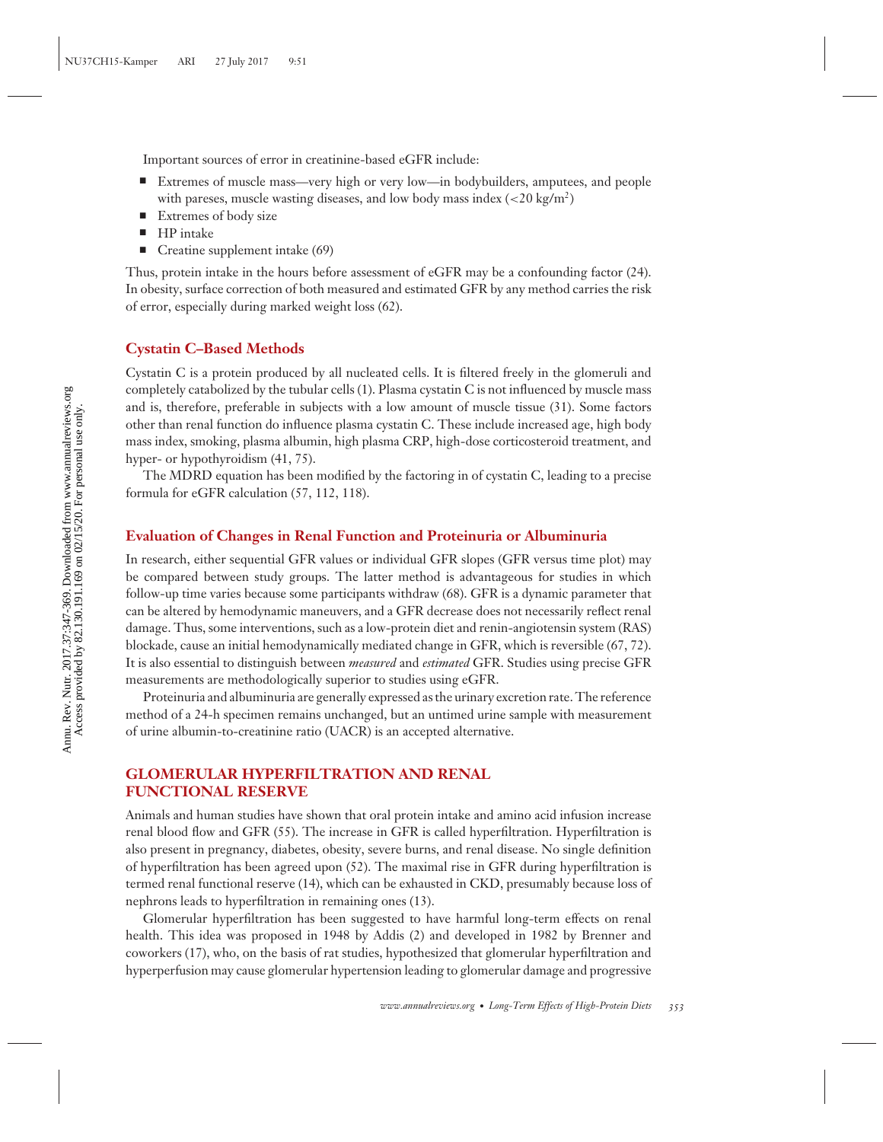Important sources of error in creatinine-based eGFR include:

- - Extremes of muscle mass—very high or very low—in bodybuilders, amputees, and people with pareses, muscle wasting diseases, and low body mass index (*<*20 kg/m2)
- -Extremes of body size
- -HP intake
- -Creatine supplement intake (69)

Thus, protein intake in the hours before assessment of eGFR may be a confounding factor (24). In obesity, surface correction of both measured and estimated GFR by any method carries the risk of error, especially during marked weight loss (62).

#### **Cystatin C–Based Methods**

Cystatin C is a protein produced by all nucleated cells. It is filtered freely in the glomeruli and completely catabolized by the tubular cells (1). Plasma cystatin C is not influenced by muscle mass and is, therefore, preferable in subjects with a low amount of muscle tissue (31). Some factors other than renal function do influence plasma cystatin C. These include increased age, high body mass index, smoking, plasma albumin, high plasma CRP, high-dose corticosteroid treatment, and hyper- or hypothyroidism (41, 75).

The MDRD equation has been modified by the factoring in of cystatin C, leading to a precise formula for eGFR calculation (57, 112, 118).

## **Evaluation of Changes in Renal Function and Proteinuria or Albuminuria**

In research, either sequential GFR values or individual GFR slopes (GFR versus time plot) may be compared between study groups. The latter method is advantageous for studies in which follow-up time varies because some participants withdraw (68). GFR is a dynamic parameter that can be altered by hemodynamic maneuvers, and a GFR decrease does not necessarily reflect renal damage. Thus, some interventions, such as a low-protein diet and renin-angiotensin system (RAS) blockade, cause an initial hemodynamically mediated change in GFR, which is reversible (67, 72). It is also essential to distinguish between *measured* and *estimated* GFR. Studies using precise GFR measurements are methodologically superior to studies using eGFR.

Proteinuria and albuminuria are generally expressed as the urinary excretion rate. The reference method of a 24-h specimen remains unchanged, but an untimed urine sample with measurement of urine albumin-to-creatinine ratio (UACR) is an accepted alternative.

## **GLOMERULAR HYPERFILTRATION AND RENAL FUNCTIONAL RESERVE**

Animals and human studies have shown that oral protein intake and amino acid infusion increase renal blood flow and GFR (55). The increase in GFR is called hyperfiltration. Hyperfiltration is also present in pregnancy, diabetes, obesity, severe burns, and renal disease. No single definition of hyperfiltration has been agreed upon (52). The maximal rise in GFR during hyperfiltration is termed renal functional reserve (14), which can be exhausted in CKD, presumably because loss of nephrons leads to hyperfiltration in remaining ones (13).

Glomerular hyperfiltration has been suggested to have harmful long-term effects on renal health. This idea was proposed in 1948 by Addis (2) and developed in 1982 by Brenner and coworkers (17), who, on the basis of rat studies, hypothesized that glomerular hyperfiltration and hyperperfusion may cause glomerular hypertension leading to glomerular damage and progressive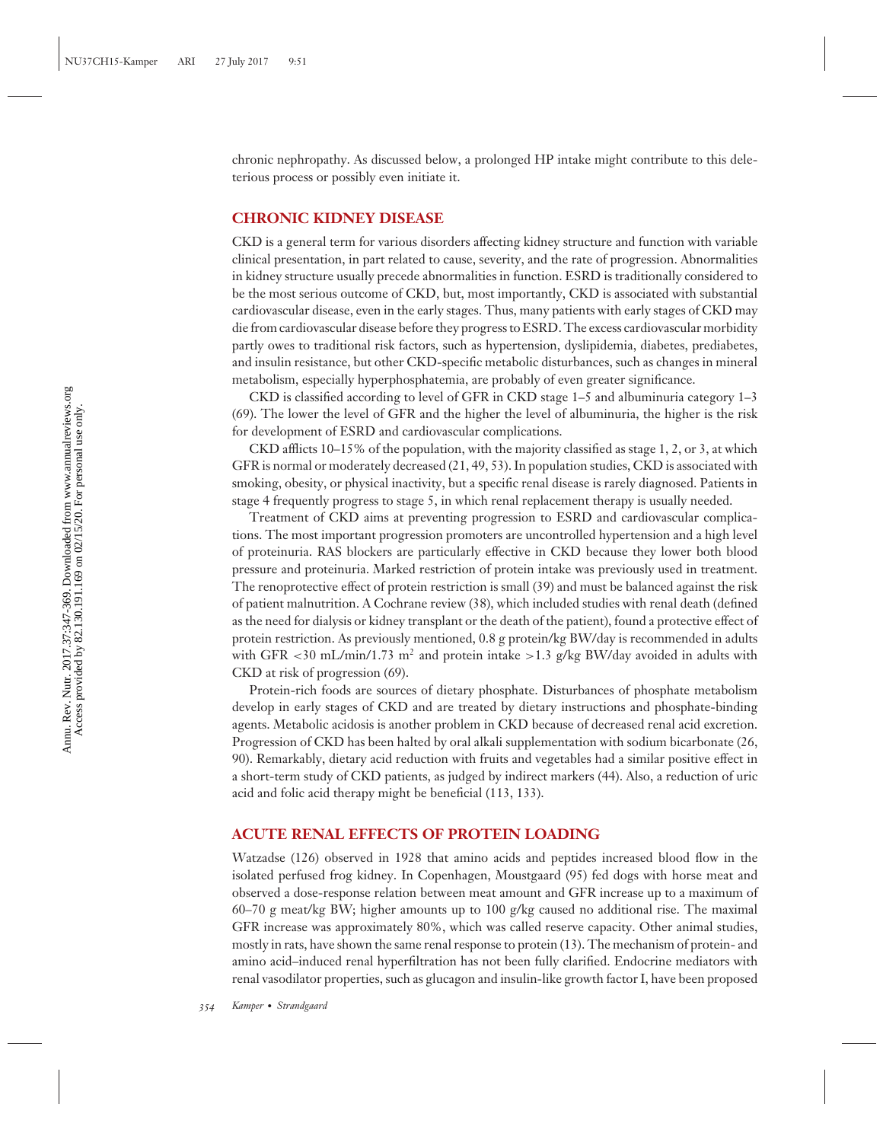chronic nephropathy. As discussed below, a prolonged HP intake might contribute to this deleterious process or possibly even initiate it.

## **CHRONIC KIDNEY DISEASE**

CKD is a general term for various disorders affecting kidney structure and function with variable clinical presentation, in part related to cause, severity, and the rate of progression. Abnormalities in kidney structure usually precede abnormalities in function. ESRD is traditionally considered to be the most serious outcome of CKD, but, most importantly, CKD is associated with substantial cardiovascular disease, even in the early stages. Thus, many patients with early stages of CKD may die from cardiovascular disease before they progress to ESRD. The excess cardiovascular morbidity partly owes to traditional risk factors, such as hypertension, dyslipidemia, diabetes, prediabetes, and insulin resistance, but other CKD-specific metabolic disturbances, such as changes in mineral metabolism, especially hyperphosphatemia, are probably of even greater significance.

CKD is classified according to level of GFR in CKD stage 1–5 and albuminuria category 1–3 (69). The lower the level of GFR and the higher the level of albuminuria, the higher is the risk for development of ESRD and cardiovascular complications.

CKD afflicts 10–15% of the population, with the majority classified as stage 1, 2, or 3, at which GFR is normal or moderately decreased (21, 49, 53). In population studies, CKD is associated with smoking, obesity, or physical inactivity, but a specific renal disease is rarely diagnosed. Patients in stage 4 frequently progress to stage 5, in which renal replacement therapy is usually needed.

Treatment of CKD aims at preventing progression to ESRD and cardiovascular complications. The most important progression promoters are uncontrolled hypertension and a high level of proteinuria. RAS blockers are particularly effective in CKD because they lower both blood pressure and proteinuria. Marked restriction of protein intake was previously used in treatment. The renoprotective effect of protein restriction is small (39) and must be balanced against the risk of patient malnutrition. A Cochrane review (38), which included studies with renal death (defined as the need for dialysis or kidney transplant or the death of the patient), found a protective effect of protein restriction. As previously mentioned, 0.8 g protein/kg BW/day is recommended in adults with GFR  $\lt 30$  mL/min/1.73 m<sup>2</sup> and protein intake  $\gt 1.3$  g/kg BW/day avoided in adults with CKD at risk of progression (69).

Protein-rich foods are sources of dietary phosphate. Disturbances of phosphate metabolism develop in early stages of CKD and are treated by dietary instructions and phosphate-binding agents. Metabolic acidosis is another problem in CKD because of decreased renal acid excretion. Progression of CKD has been halted by oral alkali supplementation with sodium bicarbonate (26, 90). Remarkably, dietary acid reduction with fruits and vegetables had a similar positive effect in a short-term study of CKD patients, as judged by indirect markers (44). Also, a reduction of uric acid and folic acid therapy might be beneficial (113, 133).

## **ACUTE RENAL EFFECTS OF PROTEIN LOADING**

Watzadse (126) observed in 1928 that amino acids and peptides increased blood flow in the isolated perfused frog kidney. In Copenhagen, Moustgaard (95) fed dogs with horse meat and observed a dose-response relation between meat amount and GFR increase up to a maximum of 60–70 g meat/kg BW; higher amounts up to 100 g/kg caused no additional rise. The maximal GFR increase was approximately 80%, which was called reserve capacity. Other animal studies, mostly in rats, have shown the same renal response to protein (13). The mechanism of protein- and amino acid–induced renal hyperfiltration has not been fully clarified. Endocrine mediators with renal vasodilator properties, such as glucagon and insulin-like growth factor I, have been proposed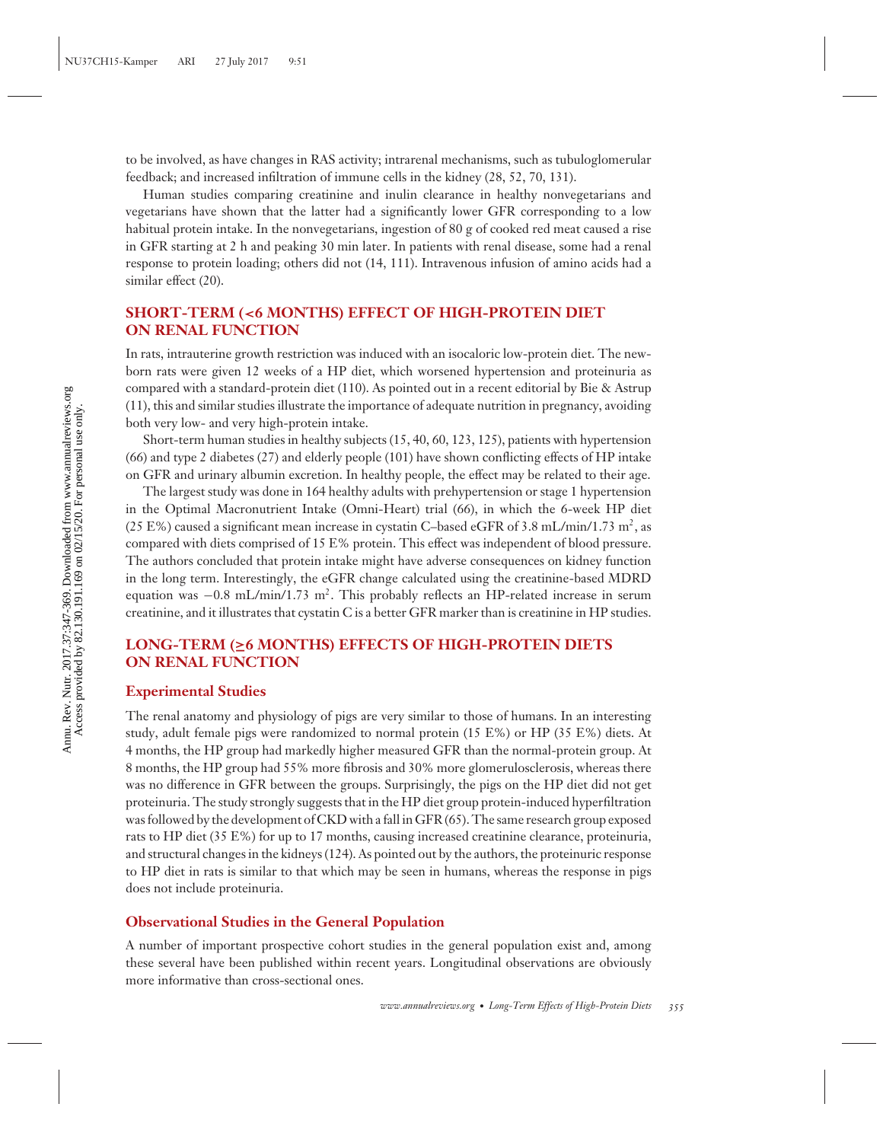to be involved, as have changes in RAS activity; intrarenal mechanisms, such as tubuloglomerular feedback; and increased infiltration of immune cells in the kidney (28, 52, 70, 131).

Human studies comparing creatinine and inulin clearance in healthy nonvegetarians and vegetarians have shown that the latter had a significantly lower GFR corresponding to a low habitual protein intake. In the nonvegetarians, ingestion of 80 g of cooked red meat caused a rise in GFR starting at 2 h and peaking 30 min later. In patients with renal disease, some had a renal response to protein loading; others did not (14, 111). Intravenous infusion of amino acids had a similar effect (20).

## **SHORT-TERM (***<***6 MONTHS) EFFECT OF HIGH-PROTEIN DIET ON RENAL FUNCTION**

In rats, intrauterine growth restriction was induced with an isocaloric low-protein diet. The newborn rats were given 12 weeks of a HP diet, which worsened hypertension and proteinuria as compared with a standard-protein diet (110). As pointed out in a recent editorial by Bie & Astrup (11), this and similar studies illustrate the importance of adequate nutrition in pregnancy, avoiding both very low- and very high-protein intake.

Short-term human studies in healthy subjects (15, 40, 60, 123, 125), patients with hypertension (66) and type 2 diabetes (27) and elderly people (101) have shown conflicting effects of HP intake on GFR and urinary albumin excretion. In healthy people, the effect may be related to their age.

The largest study was done in 164 healthy adults with prehypertension or stage 1 hypertension in the Optimal Macronutrient Intake (Omni-Heart) trial (66), in which the 6-week HP diet (25 E%) caused a significant mean increase in cystatin C-based eGFR of 3.8 mL/min/1.73 m<sup>2</sup>, as compared with diets comprised of 15 E% protein. This effect was independent of blood pressure. The authors concluded that protein intake might have adverse consequences on kidney function in the long term. Interestingly, the eGFR change calculated using the creatinine-based MDRD equation was −0.8 mL/min/1.73 m2. This probably reflects an HP-related increase in serum creatinine, and it illustrates that cystatin C is a better GFR marker than is creatinine in HP studies.

## **LONG-TERM (≥6 MONTHS) EFFECTS OF HIGH-PROTEIN DIETS ON RENAL FUNCTION**

## **Experimental Studies**

The renal anatomy and physiology of pigs are very similar to those of humans. In an interesting study, adult female pigs were randomized to normal protein (15 E%) or HP (35 E%) diets. At 4 months, the HP group had markedly higher measured GFR than the normal-protein group. At 8 months, the HP group had 55% more fibrosis and 30% more glomerulosclerosis, whereas there was no difference in GFR between the groups. Surprisingly, the pigs on the HP diet did not get proteinuria. The study strongly suggests that in the HP diet group protein-induced hyperfiltration was followed by the development of CKD with a fall in GFR (65). The same research group exposed rats to HP diet (35 E%) for up to 17 months, causing increased creatinine clearance, proteinuria, and structural changes in the kidneys (124). As pointed out by the authors, the proteinuric response to HP diet in rats is similar to that which may be seen in humans, whereas the response in pigs does not include proteinuria.

## **Observational Studies in the General Population**

A number of important prospective cohort studies in the general population exist and, among these several have been published within recent years. Longitudinal observations are obviously more informative than cross-sectional ones.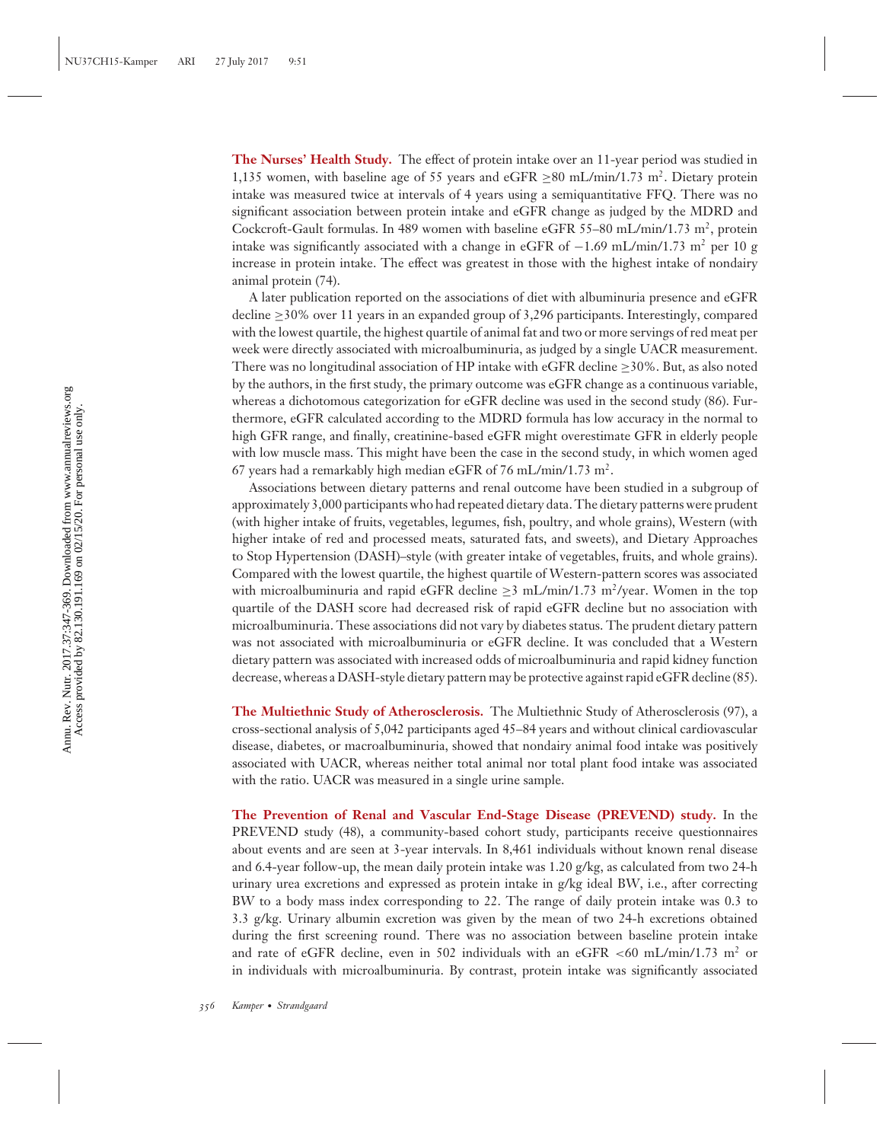**The Nurses' Health Study.** The effect of protein intake over an 11-year period was studied in 1,135 women, with baseline age of 55 years and eGFR  $\geq$ 80 mL/min/1.73 m<sup>2</sup>. Dietary protein intake was measured twice at intervals of 4 years using a semiquantitative FFQ. There was no significant association between protein intake and eGFR change as judged by the MDRD and Cockcroft-Gault formulas. In 489 women with baseline eGFR 55–80 mL/min/1.73 m<sup>2</sup>, protein intake was significantly associated with a change in eGFR of  $-1.69$  mL/min/1.73 m<sup>2</sup> per 10 g increase in protein intake. The effect was greatest in those with the highest intake of nondairy animal protein (74).

A later publication reported on the associations of diet with albuminuria presence and eGFR decline  $\geq$ 30% over 11 years in an expanded group of 3,296 participants. Interestingly, compared with the lowest quartile, the highest quartile of animal fat and two or more servings of red meat per week were directly associated with microalbuminuria, as judged by a single UACR measurement. There was no longitudinal association of HP intake with eGFR decline  $\geq$ 30%. But, as also noted by the authors, in the first study, the primary outcome was eGFR change as a continuous variable, whereas a dichotomous categorization for eGFR decline was used in the second study (86). Furthermore, eGFR calculated according to the MDRD formula has low accuracy in the normal to high GFR range, and finally, creatinine-based eGFR might overestimate GFR in elderly people with low muscle mass. This might have been the case in the second study, in which women aged 67 years had a remarkably high median eGFR of 76 mL/min/1.73 m<sup>2</sup>.

Associations between dietary patterns and renal outcome have been studied in a subgroup of approximately 3,000 participants who had repeated dietary data. The dietary patterns were prudent (with higher intake of fruits, vegetables, legumes, fish, poultry, and whole grains), Western (with higher intake of red and processed meats, saturated fats, and sweets), and Dietary Approaches to Stop Hypertension (DASH)–style (with greater intake of vegetables, fruits, and whole grains). Compared with the lowest quartile, the highest quartile of Western-pattern scores was associated with microalbuminuria and rapid eGFR decline  $>3$  mL/min/1.73 m<sup>2</sup>/year. Women in the top quartile of the DASH score had decreased risk of rapid eGFR decline but no association with microalbuminuria. These associations did not vary by diabetes status. The prudent dietary pattern was not associated with microalbuminuria or eGFR decline. It was concluded that a Western dietary pattern was associated with increased odds of microalbuminuria and rapid kidney function decrease, whereas a DASH-style dietary pattern may be protective against rapid eGFR decline (85).

**The Multiethnic Study of Atherosclerosis.** The Multiethnic Study of Atherosclerosis (97), a cross-sectional analysis of 5,042 participants aged 45–84 years and without clinical cardiovascular disease, diabetes, or macroalbuminuria, showed that nondairy animal food intake was positively associated with UACR, whereas neither total animal nor total plant food intake was associated with the ratio. UACR was measured in a single urine sample.

**The Prevention of Renal and Vascular End-Stage Disease (PREVEND) study.** In the PREVEND study (48), a community-based cohort study, participants receive questionnaires about events and are seen at 3-year intervals. In 8,461 individuals without known renal disease and 6.4-year follow-up, the mean daily protein intake was 1.20 g/kg, as calculated from two 24-h urinary urea excretions and expressed as protein intake in g/kg ideal BW, i.e., after correcting BW to a body mass index corresponding to 22. The range of daily protein intake was 0.3 to 3.3 g/kg. Urinary albumin excretion was given by the mean of two 24-h excretions obtained during the first screening round. There was no association between baseline protein intake and rate of eGFR decline, even in 502 individuals with an eGFR  $\lt 60$  mL/min/1.73 m<sup>2</sup> or in individuals with microalbuminuria. By contrast, protein intake was significantly associated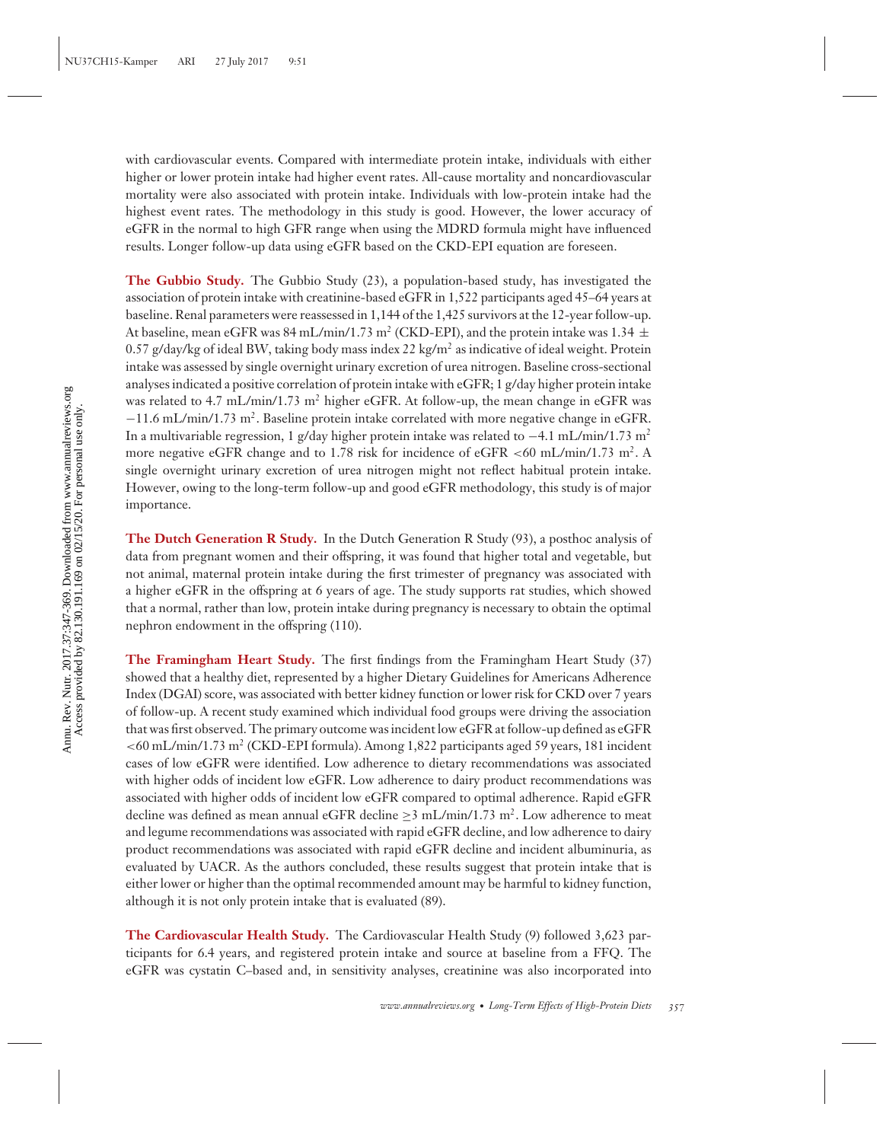with cardiovascular events. Compared with intermediate protein intake, individuals with either higher or lower protein intake had higher event rates. All-cause mortality and noncardiovascular mortality were also associated with protein intake. Individuals with low-protein intake had the highest event rates. The methodology in this study is good. However, the lower accuracy of eGFR in the normal to high GFR range when using the MDRD formula might have influenced results. Longer follow-up data using eGFR based on the CKD-EPI equation are foreseen.

**The Gubbio Study.** The Gubbio Study (23), a population-based study, has investigated the association of protein intake with creatinine-based eGFR in 1,522 participants aged 45–64 years at baseline. Renal parameters were reassessed in 1,144 of the 1,425 survivors at the 12-year follow-up. At baseline, mean eGFR was 84 mL/min/1.73 m<sup>2</sup> (CKD-EPI), and the protein intake was 1.34  $\pm$ 0.57 g/day/kg of ideal BW, taking body mass index 22 kg/m<sup>2</sup> as indicative of ideal weight. Protein intake was assessed by single overnight urinary excretion of urea nitrogen. Baseline cross-sectional analyses indicated a positive correlation of protein intake with eGFR; 1 g/day higher protein intake was related to 4.7 mL/min/1.73 m<sup>2</sup> higher eGFR. At follow-up, the mean change in eGFR was −11.6 mL/min/1.73 m2. Baseline protein intake correlated with more negative change in eGFR. In a multivariable regression, 1 g/day higher protein intake was related to  $-4.1$  mL/min/1.73 m<sup>2</sup> more negative eGFR change and to 1.78 risk for incidence of eGFR <60 mL/min/1.73 m<sup>2</sup>. A single overnight urinary excretion of urea nitrogen might not reflect habitual protein intake. However, owing to the long-term follow-up and good eGFR methodology, this study is of major importance.

**The Dutch Generation R Study.** In the Dutch Generation R Study (93), a posthoc analysis of data from pregnant women and their offspring, it was found that higher total and vegetable, but not animal, maternal protein intake during the first trimester of pregnancy was associated with a higher eGFR in the offspring at 6 years of age. The study supports rat studies, which showed that a normal, rather than low, protein intake during pregnancy is necessary to obtain the optimal nephron endowment in the offspring (110).

**The Framingham Heart Study.** The first findings from the Framingham Heart Study (37) showed that a healthy diet, represented by a higher Dietary Guidelines for Americans Adherence Index (DGAI) score, was associated with better kidney function or lower risk for CKD over 7 years of follow-up. A recent study examined which individual food groups were driving the association that was first observed. The primary outcome was incident low eGFR at follow-up defined as eGFR *<*60 mL/min/1.73 m<sup>2</sup> (CKD-EPI formula). Among 1,822 participants aged 59 years, 181 incident cases of low eGFR were identified. Low adherence to dietary recommendations was associated with higher odds of incident low eGFR. Low adherence to dairy product recommendations was associated with higher odds of incident low eGFR compared to optimal adherence. Rapid eGFR decline was defined as mean annual eGFR decline  $\geq$ 3 mL/min/1.73 m<sup>2</sup>. Low adherence to meat and legume recommendations was associated with rapid eGFR decline, and low adherence to dairy product recommendations was associated with rapid eGFR decline and incident albuminuria, as evaluated by UACR. As the authors concluded, these results suggest that protein intake that is either lower or higher than the optimal recommended amount may be harmful to kidney function, although it is not only protein intake that is evaluated (89).

**The Cardiovascular Health Study.** The Cardiovascular Health Study (9) followed 3,623 participants for 6.4 years, and registered protein intake and source at baseline from a FFQ. The eGFR was cystatin C–based and, in sensitivity analyses, creatinine was also incorporated into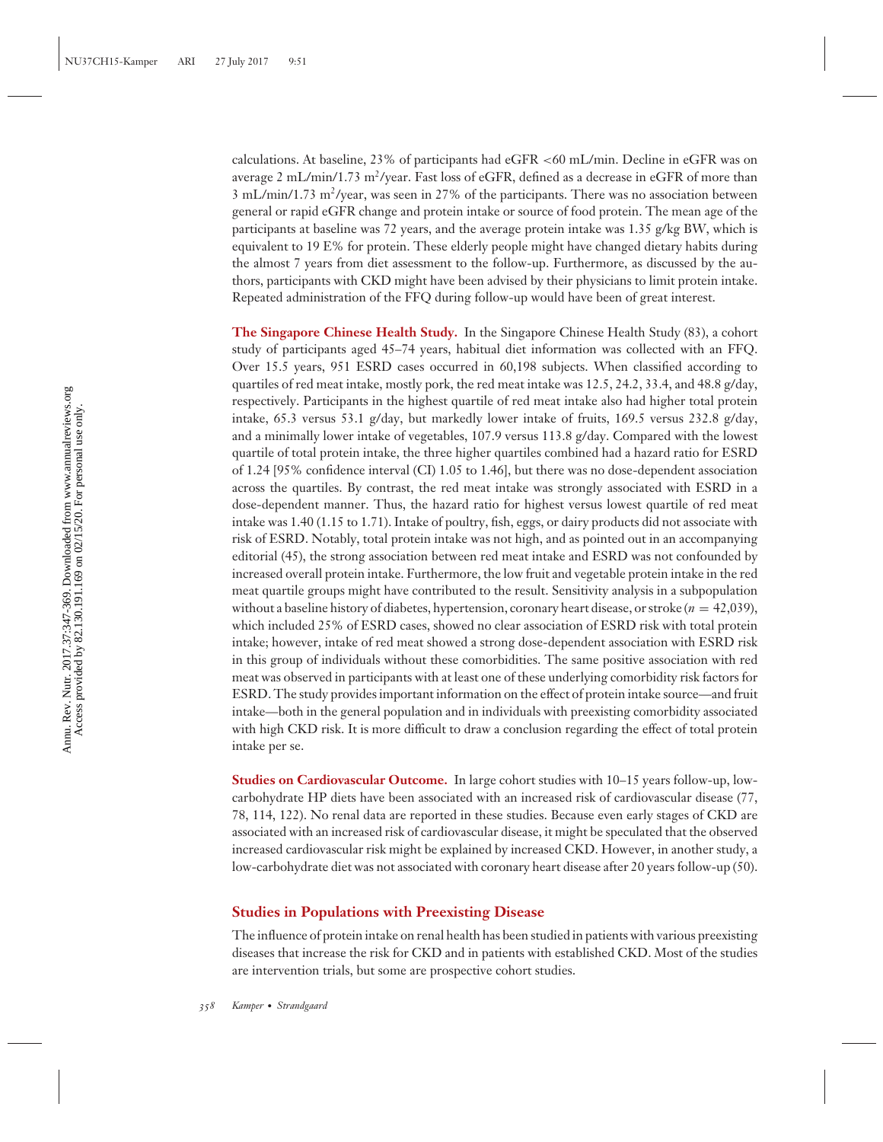calculations. At baseline, 23% of participants had eGFR *<*60 mL/min. Decline in eGFR was on average 2 mL/min/1.73 m<sup>2</sup>/year. Fast loss of eGFR, defined as a decrease in eGFR of more than  $3 \text{ mL/min}/1.73 \text{ m}^2/\text{year}$ , was seen in 27% of the participants. There was no association between general or rapid eGFR change and protein intake or source of food protein. The mean age of the participants at baseline was 72 years, and the average protein intake was 1.35 g/kg BW, which is equivalent to 19 E% for protein. These elderly people might have changed dietary habits during the almost 7 years from diet assessment to the follow-up. Furthermore, as discussed by the authors, participants with CKD might have been advised by their physicians to limit protein intake. Repeated administration of the FFQ during follow-up would have been of great interest.

**The Singapore Chinese Health Study.** In the Singapore Chinese Health Study (83), a cohort study of participants aged 45–74 years, habitual diet information was collected with an FFQ. Over 15.5 years, 951 ESRD cases occurred in 60,198 subjects. When classified according to quartiles of red meat intake, mostly pork, the red meat intake was 12.5, 24.2, 33.4, and 48.8 g/day, respectively. Participants in the highest quartile of red meat intake also had higher total protein intake, 65.3 versus 53.1 g/day, but markedly lower intake of fruits, 169.5 versus 232.8 g/day, and a minimally lower intake of vegetables, 107.9 versus 113.8 g/day. Compared with the lowest quartile of total protein intake, the three higher quartiles combined had a hazard ratio for ESRD of 1.24 [95% confidence interval (CI) 1.05 to 1.46], but there was no dose-dependent association across the quartiles. By contrast, the red meat intake was strongly associated with ESRD in a dose-dependent manner. Thus, the hazard ratio for highest versus lowest quartile of red meat intake was 1.40 (1.15 to 1.71). Intake of poultry, fish, eggs, or dairy products did not associate with risk of ESRD. Notably, total protein intake was not high, and as pointed out in an accompanying editorial (45), the strong association between red meat intake and ESRD was not confounded by increased overall protein intake. Furthermore, the low fruit and vegetable protein intake in the red meat quartile groups might have contributed to the result. Sensitivity analysis in a subpopulation without a baseline history of diabetes, hypertension, coronary heart disease, or stroke (*n* = 42,039), which included 25% of ESRD cases, showed no clear association of ESRD risk with total protein intake; however, intake of red meat showed a strong dose-dependent association with ESRD risk in this group of individuals without these comorbidities. The same positive association with red meat was observed in participants with at least one of these underlying comorbidity risk factors for ESRD. The study provides important information on the effect of protein intake source—and fruit intake—both in the general population and in individuals with preexisting comorbidity associated with high CKD risk. It is more difficult to draw a conclusion regarding the effect of total protein intake per se.

**Studies on Cardiovascular Outcome.** In large cohort studies with 10–15 years follow-up, lowcarbohydrate HP diets have been associated with an increased risk of cardiovascular disease (77, 78, 114, 122). No renal data are reported in these studies. Because even early stages of CKD are associated with an increased risk of cardiovascular disease, it might be speculated that the observed increased cardiovascular risk might be explained by increased CKD. However, in another study, a low-carbohydrate diet was not associated with coronary heart disease after 20 years follow-up (50).

## **Studies in Populations with Preexisting Disease**

The influence of protein intake on renal health has been studied in patients with various preexisting diseases that increase the risk for CKD and in patients with established CKD. Most of the studies are intervention trials, but some are prospective cohort studies.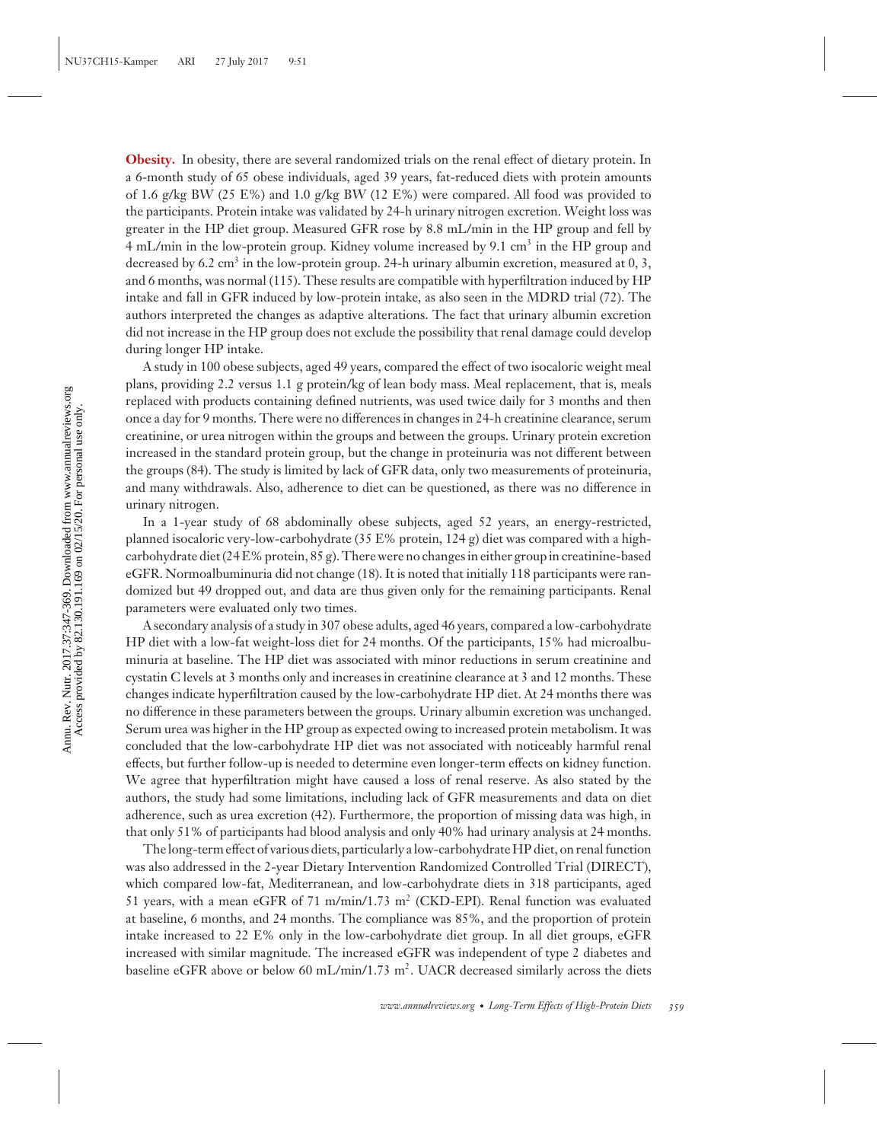**Obesity.** In obesity, there are several randomized trials on the renal effect of dietary protein. In a 6-month study of 65 obese individuals, aged 39 years, fat-reduced diets with protein amounts of 1.6 g/kg BW (25 E%) and 1.0 g/kg BW (12 E%) were compared. All food was provided to the participants. Protein intake was validated by 24-h urinary nitrogen excretion. Weight loss was greater in the HP diet group. Measured GFR rose by 8.8 mL/min in the HP group and fell by 4 mL/min in the low-protein group. Kidney volume increased by 9.1 cm<sup>3</sup> in the HP group and decreased by  $6.2 \text{ cm}^3$  in the low-protein group. 24-h urinary albumin excretion, measured at 0, 3, and 6 months, was normal (115). These results are compatible with hyperfiltration induced by HP intake and fall in GFR induced by low-protein intake, as also seen in the MDRD trial (72). The authors interpreted the changes as adaptive alterations. The fact that urinary albumin excretion did not increase in the HP group does not exclude the possibility that renal damage could develop during longer HP intake.

A study in 100 obese subjects, aged 49 years, compared the effect of two isocaloric weight meal plans, providing 2.2 versus 1.1 g protein/kg of lean body mass. Meal replacement, that is, meals replaced with products containing defined nutrients, was used twice daily for 3 months and then once a day for 9 months. There were no differences in changes in 24-h creatinine clearance, serum creatinine, or urea nitrogen within the groups and between the groups. Urinary protein excretion increased in the standard protein group, but the change in proteinuria was not different between the groups (84). The study is limited by lack of GFR data, only two measurements of proteinuria, and many withdrawals. Also, adherence to diet can be questioned, as there was no difference in urinary nitrogen.

In a 1-year study of 68 abdominally obese subjects, aged 52 years, an energy-restricted, planned isocaloric very-low-carbohydrate (35 E% protein, 124 g) diet was compared with a highcarbohydrate diet (24 E% protein, 85 g). There were no changes in either group in creatinine-based eGFR. Normoalbuminuria did not change (18). It is noted that initially 118 participants were randomized but 49 dropped out, and data are thus given only for the remaining participants. Renal parameters were evaluated only two times.

A secondary analysis of a study in 307 obese adults, aged 46 years, compared a low-carbohydrate HP diet with a low-fat weight-loss diet for 24 months. Of the participants, 15% had microalbuminuria at baseline. The HP diet was associated with minor reductions in serum creatinine and cystatin C levels at 3 months only and increases in creatinine clearance at 3 and 12 months. These changes indicate hyperfiltration caused by the low-carbohydrate HP diet. At 24 months there was no difference in these parameters between the groups. Urinary albumin excretion was unchanged. Serum urea was higher in the HP group as expected owing to increased protein metabolism. It was concluded that the low-carbohydrate HP diet was not associated with noticeably harmful renal effects, but further follow-up is needed to determine even longer-term effects on kidney function. We agree that hyperfiltration might have caused a loss of renal reserve. As also stated by the authors, the study had some limitations, including lack of GFR measurements and data on diet adherence, such as urea excretion (42). Furthermore, the proportion of missing data was high, in that only 51% of participants had blood analysis and only 40% had urinary analysis at 24 months.

The long-term effect of various diets, particularly a low-carbohydrate HP diet, on renal function was also addressed in the 2-year Dietary Intervention Randomized Controlled Trial (DIRECT), which compared low-fat, Mediterranean, and low-carbohydrate diets in 318 participants, aged 51 years, with a mean eGFR of 71 m/min/1.73 m<sup>2</sup> (CKD-EPI). Renal function was evaluated at baseline, 6 months, and 24 months. The compliance was 85%, and the proportion of protein intake increased to 22 E% only in the low-carbohydrate diet group. In all diet groups, eGFR increased with similar magnitude. The increased eGFR was independent of type 2 diabetes and baseline eGFR above or below 60 mL/min/1.73 m<sup>2</sup>. UACR decreased similarly across the diets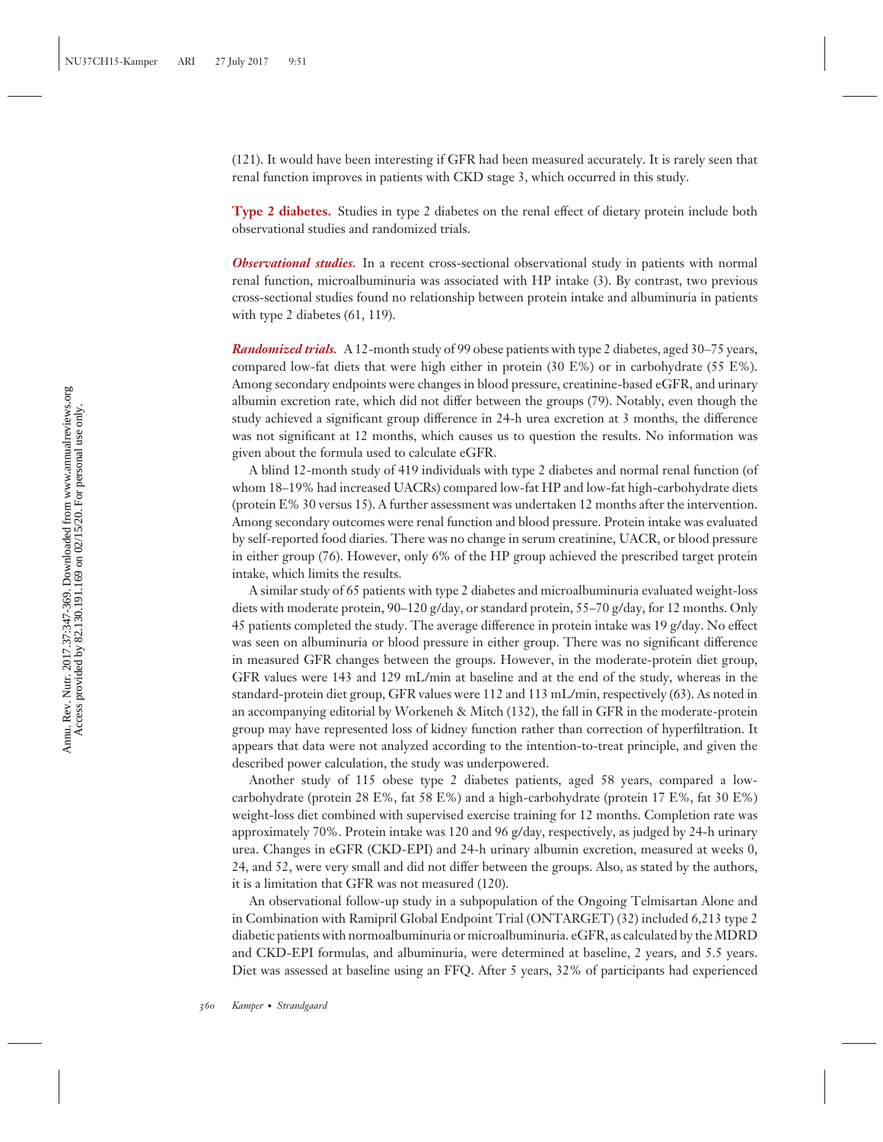(121). It would have been interesting if GFR had been measured accurately. It is rarely seen that renal function improves in patients with CKD stage 3, which occurred in this study.

**Type 2 diabetes.** Studies in type 2 diabetes on the renal effect of dietary protein include both observational studies and randomized trials.

*Observational studies.* In a recent cross-sectional observational study in patients with normal renal function, microalbuminuria was associated with HP intake (3). By contrast, two previous cross-sectional studies found no relationship between protein intake and albuminuria in patients with type 2 diabetes (61, 119).

*Randomized trials.* A 12-month study of 99 obese patients with type 2 diabetes, aged 30–75 years, compared low-fat diets that were high either in protein (30 E%) or in carbohydrate (55 E%). Among secondary endpoints were changes in blood pressure, creatinine-based eGFR, and urinary albumin excretion rate, which did not differ between the groups (79). Notably, even though the study achieved a significant group difference in 24-h urea excretion at 3 months, the difference was not significant at 12 months, which causes us to question the results. No information was given about the formula used to calculate eGFR.

A blind 12-month study of 419 individuals with type 2 diabetes and normal renal function (of whom 18–19% had increased UACRs) compared low-fat HP and low-fat high-carbohydrate diets (protein E% 30 versus 15). A further assessment was undertaken 12 months after the intervention. Among secondary outcomes were renal function and blood pressure. Protein intake was evaluated by self-reported food diaries. There was no change in serum creatinine, UACR, or blood pressure in either group (76). However, only 6% of the HP group achieved the prescribed target protein intake, which limits the results.

A similar study of 65 patients with type 2 diabetes and microalbuminuria evaluated weight-loss diets with moderate protein, 90–120 g/day, or standard protein, 55–70 g/day, for 12 months. Only 45 patients completed the study. The average difference in protein intake was 19 g/day. No effect was seen on albuminuria or blood pressure in either group. There was no significant difference in measured GFR changes between the groups. However, in the moderate-protein diet group, GFR values were 143 and 129 mL/min at baseline and at the end of the study, whereas in the standard-protein diet group, GFR values were 112 and 113 mL/min, respectively (63). As noted in an accompanying editorial by Workeneh & Mitch (132), the fall in GFR in the moderate-protein group may have represented loss of kidney function rather than correction of hyperfiltration. It appears that data were not analyzed according to the intention-to-treat principle, and given the described power calculation, the study was underpowered.

Another study of 115 obese type 2 diabetes patients, aged 58 years, compared a lowcarbohydrate (protein 28 E%, fat 58 E%) and a high-carbohydrate (protein 17 E%, fat 30 E%) weight-loss diet combined with supervised exercise training for 12 months. Completion rate was approximately 70%. Protein intake was 120 and 96 g/day, respectively, as judged by 24-h urinary urea. Changes in eGFR (CKD-EPI) and 24-h urinary albumin excretion, measured at weeks 0, 24, and 52, were very small and did not differ between the groups. Also, as stated by the authors, it is a limitation that GFR was not measured (120).

An observational follow-up study in a subpopulation of the Ongoing Telmisartan Alone and in Combination with Ramipril Global Endpoint Trial (ONTARGET) (32) included 6,213 type 2 diabetic patients with normoalbuminuria or microalbuminuria. eGFR, as calculated by the MDRD and CKD-EPI formulas, and albuminuria, were determined at baseline, 2 years, and 5.5 years. Diet was assessed at baseline using an FFQ. After 5 years, 32% of participants had experienced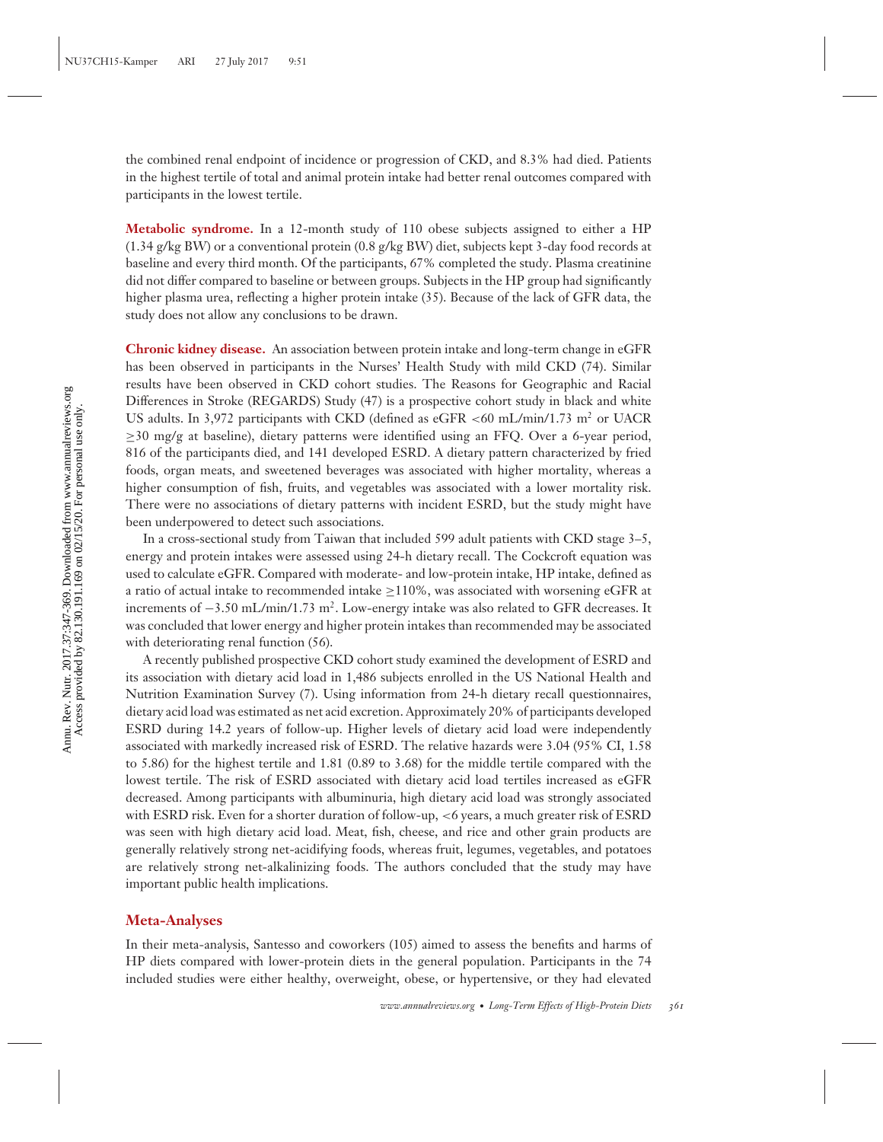the combined renal endpoint of incidence or progression of CKD, and 8.3% had died. Patients in the highest tertile of total and animal protein intake had better renal outcomes compared with participants in the lowest tertile.

**Metabolic syndrome.** In a 12-month study of 110 obese subjects assigned to either a HP  $(1.34 \text{ g/kg BW})$  or a conventional protein  $(0.8 \text{ g/kg BW})$  diet, subjects kept 3-day food records at baseline and every third month. Of the participants, 67% completed the study. Plasma creatinine did not differ compared to baseline or between groups. Subjects in the HP group had significantly higher plasma urea, reflecting a higher protein intake (35). Because of the lack of GFR data, the study does not allow any conclusions to be drawn.

**Chronic kidney disease.** An association between protein intake and long-term change in eGFR has been observed in participants in the Nurses' Health Study with mild CKD (74). Similar results have been observed in CKD cohort studies. The Reasons for Geographic and Racial Differences in Stroke (REGARDS) Study (47) is a prospective cohort study in black and white US adults. In 3,972 participants with CKD (defined as eGFR *<*60 mL/min/1.73 m<sup>2</sup> or UACR ≥30 mg/g at baseline), dietary patterns were identified using an FFQ. Over a 6-year period, 816 of the participants died, and 141 developed ESRD. A dietary pattern characterized by fried foods, organ meats, and sweetened beverages was associated with higher mortality, whereas a higher consumption of fish, fruits, and vegetables was associated with a lower mortality risk. There were no associations of dietary patterns with incident ESRD, but the study might have been underpowered to detect such associations.

In a cross-sectional study from Taiwan that included 599 adult patients with CKD stage 3–5, energy and protein intakes were assessed using 24-h dietary recall. The Cockcroft equation was used to calculate eGFR. Compared with moderate- and low-protein intake, HP intake, defined as a ratio of actual intake to recommended intake ≥110%, was associated with worsening eGFR at increments of  $-3.50$  mL/min/1.73 m<sup>2</sup>. Low-energy intake was also related to GFR decreases. It was concluded that lower energy and higher protein intakes than recommended may be associated with deteriorating renal function (56).

A recently published prospective CKD cohort study examined the development of ESRD and its association with dietary acid load in 1,486 subjects enrolled in the US National Health and Nutrition Examination Survey (7). Using information from 24-h dietary recall questionnaires, dietary acid load was estimated as net acid excretion. Approximately 20% of participants developed ESRD during 14.2 years of follow-up. Higher levels of dietary acid load were independently associated with markedly increased risk of ESRD. The relative hazards were 3.04 (95% CI, 1.58 to 5.86) for the highest tertile and 1.81 (0.89 to 3.68) for the middle tertile compared with the lowest tertile. The risk of ESRD associated with dietary acid load tertiles increased as eGFR decreased. Among participants with albuminuria, high dietary acid load was strongly associated with ESRD risk. Even for a shorter duration of follow-up, *<*6 years, a much greater risk of ESRD was seen with high dietary acid load. Meat, fish, cheese, and rice and other grain products are generally relatively strong net-acidifying foods, whereas fruit, legumes, vegetables, and potatoes are relatively strong net-alkalinizing foods. The authors concluded that the study may have important public health implications.

#### **Meta-Analyses**

In their meta-analysis, Santesso and coworkers (105) aimed to assess the benefits and harms of HP diets compared with lower-protein diets in the general population. Participants in the 74 included studies were either healthy, overweight, obese, or hypertensive, or they had elevated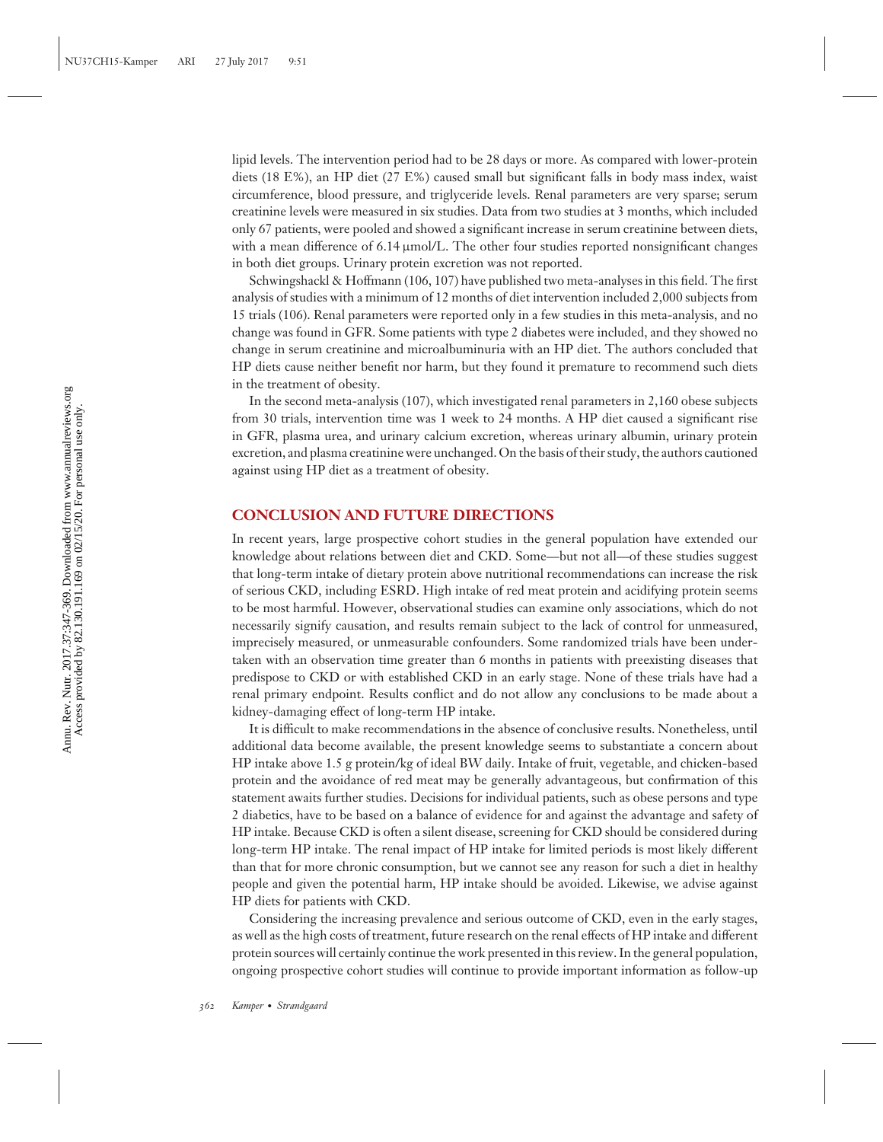lipid levels. The intervention period had to be 28 days or more. As compared with lower-protein diets (18 E%), an HP diet (27 E%) caused small but significant falls in body mass index, waist circumference, blood pressure, and triglyceride levels. Renal parameters are very sparse; serum creatinine levels were measured in six studies. Data from two studies at 3 months, which included only 67 patients, were pooled and showed a significant increase in serum creatinine between diets, with a mean difference of 6.14  $\mu$ mol/L. The other four studies reported nonsignificant changes in both diet groups. Urinary protein excretion was not reported.

Schwingshackl & Hoffmann (106, 107) have published two meta-analyses in this field. The first analysis of studies with a minimum of 12 months of diet intervention included 2,000 subjects from 15 trials (106). Renal parameters were reported only in a few studies in this meta-analysis, and no change was found in GFR. Some patients with type 2 diabetes were included, and they showed no change in serum creatinine and microalbuminuria with an HP diet. The authors concluded that HP diets cause neither benefit nor harm, but they found it premature to recommend such diets in the treatment of obesity.

In the second meta-analysis (107), which investigated renal parameters in 2,160 obese subjects from 30 trials, intervention time was 1 week to 24 months. A HP diet caused a significant rise in GFR, plasma urea, and urinary calcium excretion, whereas urinary albumin, urinary protein excretion, and plasma creatinine were unchanged. On the basis of their study, the authors cautioned against using HP diet as a treatment of obesity.

## **CONCLUSION AND FUTURE DIRECTIONS**

In recent years, large prospective cohort studies in the general population have extended our knowledge about relations between diet and CKD. Some—but not all—of these studies suggest that long-term intake of dietary protein above nutritional recommendations can increase the risk of serious CKD, including ESRD. High intake of red meat protein and acidifying protein seems to be most harmful. However, observational studies can examine only associations, which do not necessarily signify causation, and results remain subject to the lack of control for unmeasured, imprecisely measured, or unmeasurable confounders. Some randomized trials have been undertaken with an observation time greater than 6 months in patients with preexisting diseases that predispose to CKD or with established CKD in an early stage. None of these trials have had a renal primary endpoint. Results conflict and do not allow any conclusions to be made about a kidney-damaging effect of long-term HP intake.

It is difficult to make recommendations in the absence of conclusive results. Nonetheless, until additional data become available, the present knowledge seems to substantiate a concern about HP intake above 1.5 g protein/kg of ideal BW daily. Intake of fruit, vegetable, and chicken-based protein and the avoidance of red meat may be generally advantageous, but confirmation of this statement awaits further studies. Decisions for individual patients, such as obese persons and type 2 diabetics, have to be based on a balance of evidence for and against the advantage and safety of HP intake. Because CKD is often a silent disease, screening for CKD should be considered during long-term HP intake. The renal impact of HP intake for limited periods is most likely different than that for more chronic consumption, but we cannot see any reason for such a diet in healthy people and given the potential harm, HP intake should be avoided. Likewise, we advise against HP diets for patients with CKD.

Considering the increasing prevalence and serious outcome of CKD, even in the early stages, as well as the high costs of treatment, future research on the renal effects of HP intake and different protein sources will certainly continue the work presented in this review. In the general population, ongoing prospective cohort studies will continue to provide important information as follow-up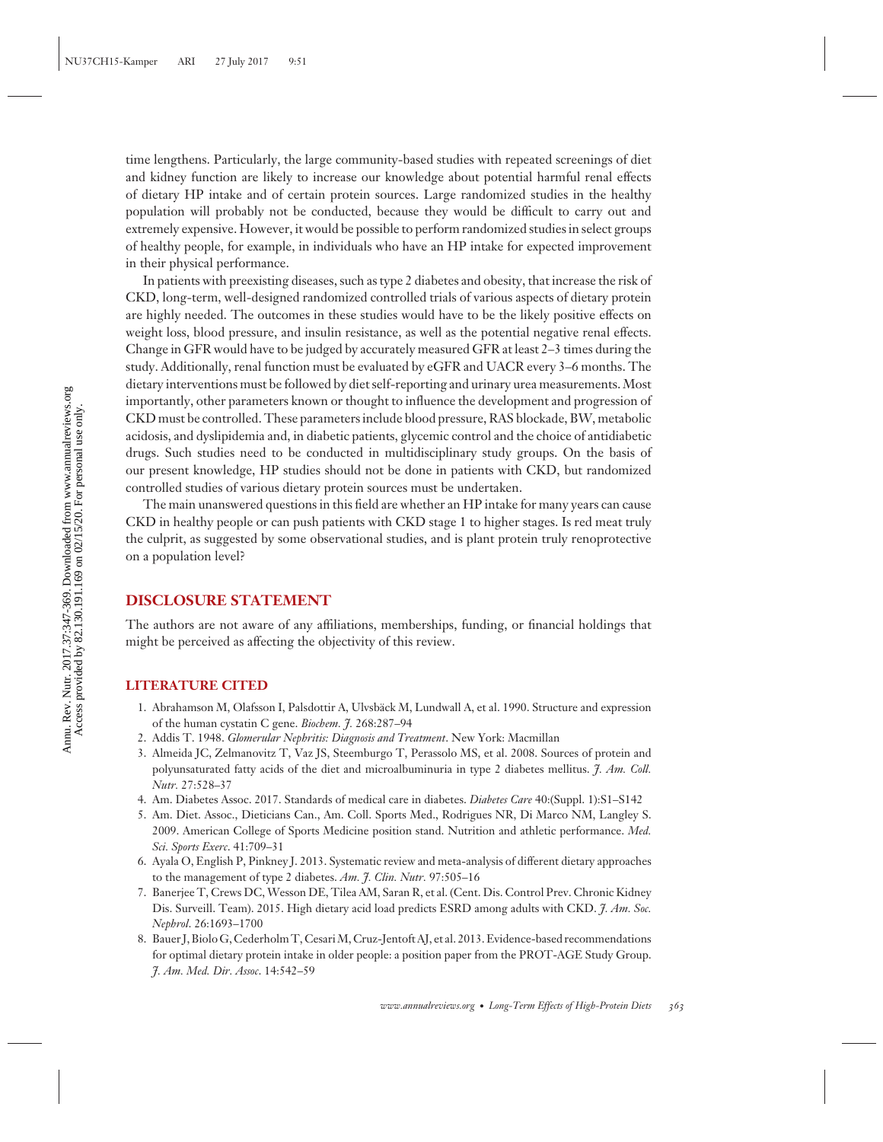time lengthens. Particularly, the large community-based studies with repeated screenings of diet and kidney function are likely to increase our knowledge about potential harmful renal effects of dietary HP intake and of certain protein sources. Large randomized studies in the healthy population will probably not be conducted, because they would be difficult to carry out and extremely expensive. However, it would be possible to perform randomized studies in select groups of healthy people, for example, in individuals who have an HP intake for expected improvement in their physical performance.

In patients with preexisting diseases, such as type 2 diabetes and obesity, that increase the risk of CKD, long-term, well-designed randomized controlled trials of various aspects of dietary protein are highly needed. The outcomes in these studies would have to be the likely positive effects on weight loss, blood pressure, and insulin resistance, as well as the potential negative renal effects. Change in GFR would have to be judged by accurately measured GFR at least 2–3 times during the study. Additionally, renal function must be evaluated by eGFR and UACR every 3–6 months. The dietary interventions must be followed by diet self-reporting and urinary urea measurements. Most importantly, other parameters known or thought to influence the development and progression of CKD must be controlled. These parameters include blood pressure, RAS blockade, BW, metabolic acidosis, and dyslipidemia and, in diabetic patients, glycemic control and the choice of antidiabetic drugs. Such studies need to be conducted in multidisciplinary study groups. On the basis of our present knowledge, HP studies should not be done in patients with CKD, but randomized controlled studies of various dietary protein sources must be undertaken.

The main unanswered questions in this field are whether an HP intake for many years can cause CKD in healthy people or can push patients with CKD stage 1 to higher stages. Is red meat truly the culprit, as suggested by some observational studies, and is plant protein truly renoprotective on a population level?

## **DISCLOSURE STATEMENT**

The authors are not aware of any affiliations, memberships, funding, or financial holdings that might be perceived as affecting the objectivity of this review.

#### **LITERATURE CITED**

- 1. Abrahamson M, Olafsson I, Palsdottir A, Ulvsbäck M, Lundwall A, et al. 1990. Structure and expression of the human cystatin C gene. *Biochem. J.* 268:287–94
- 2. Addis T. 1948. *Glomerular Nephritis: Diagnosis and Treatment*. New York: Macmillan
- 3. Almeida JC, Zelmanovitz T, Vaz JS, Steemburgo T, Perassolo MS, et al. 2008. Sources of protein and polyunsaturated fatty acids of the diet and microalbuminuria in type 2 diabetes mellitus. *J. Am. Coll. Nutr.* 27:528–37
- 4. Am. Diabetes Assoc. 2017. Standards of medical care in diabetes. *Diabetes Care* 40:(Suppl. 1):S1–S142
- 5. Am. Diet. Assoc., Dieticians Can., Am. Coll. Sports Med., Rodrigues NR, Di Marco NM, Langley S. 2009. American College of Sports Medicine position stand. Nutrition and athletic performance. *Med. Sci. Sports Exerc*. 41:709–31
- 6. Ayala O, English P, Pinkney J. 2013. Systematic review and meta-analysis of different dietary approaches to the management of type 2 diabetes. *Am. J. Clin. Nutr.* 97:505–16
- 7. Banerjee T, Crews DC, Wesson DE, Tilea AM, Saran R, et al. (Cent. Dis. Control Prev. Chronic Kidney Dis. Surveill. Team). 2015. High dietary acid load predicts ESRD among adults with CKD. *J. Am. Soc. Nephrol*. 26:1693–1700
- 8. Bauer J, Biolo G, Cederholm T, CesariM, Cruz-Jentoft AJ, et al. 2013. Evidence-based recommendations for optimal dietary protein intake in older people: a position paper from the PROT-AGE Study Group. *J. Am. Med. Dir. Assoc*. 14:542–59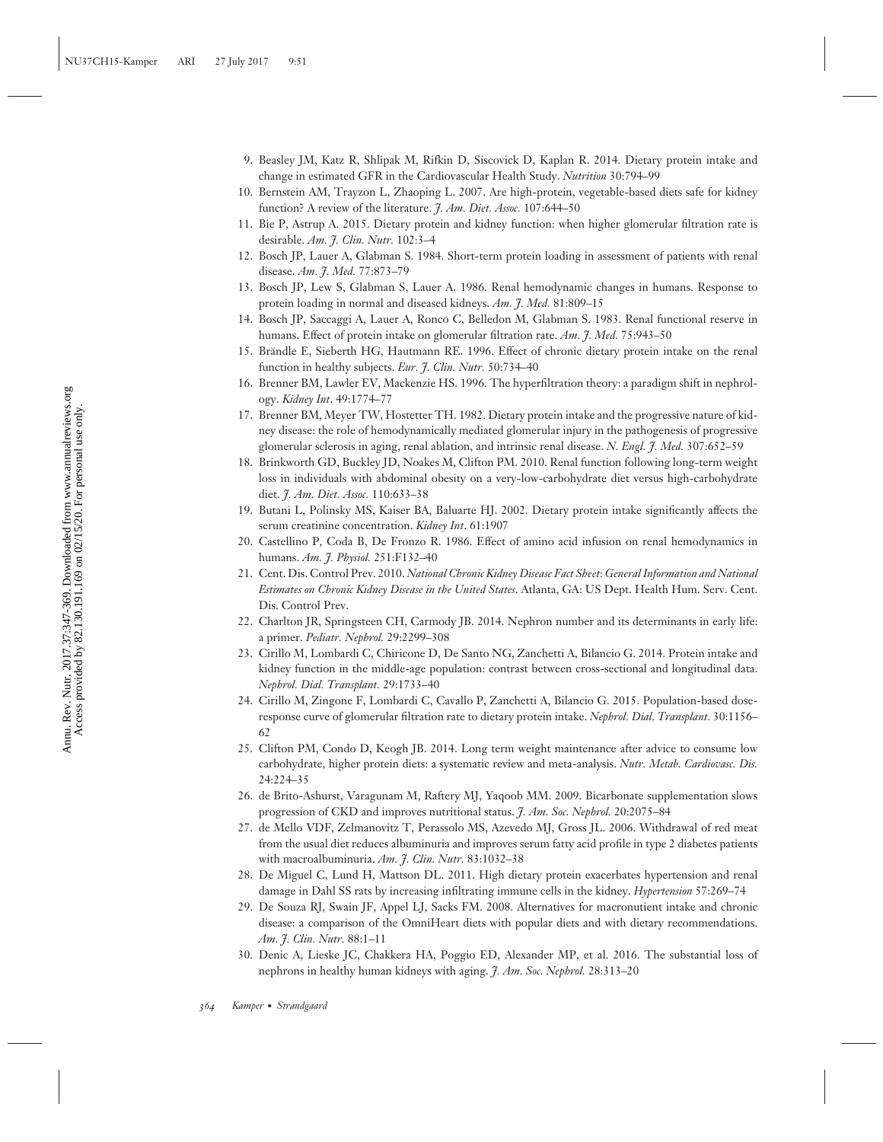- 9. Beasley JM, Katz R, Shlipak M, Rifkin D, Siscovick D, Kaplan R. 2014. Dietary protein intake and change in estimated GFR in the Cardiovascular Health Study. *Nutrition* 30:794–99
- 10. Bernstein AM, Trayzon L, Zhaoping L. 2007. Are high-protein, vegetable-based diets safe for kidney function? A review of the literature. *J. Am. Diet. Assoc.* 107:644–50
- 11. Bie P, Astrup A. 2015. Dietary protein and kidney function: when higher glomerular filtration rate is desirable. *Am. J. Clin. Nutr.* 102:3–4
- 12. Bosch JP, Lauer A, Glabman S. 1984. Short-term protein loading in assessment of patients with renal disease. *Am. J. Med.* 77:873–79
- 13. Bosch JP, Lew S, Glabman S, Lauer A. 1986. Renal hemodynamic changes in humans. Response to protein loading in normal and diseased kidneys. *Am. J. Med.* 81:809–15
- 14. Bosch JP, Saccaggi A, Lauer A, Ronco C, Belledon M, Glabman S. 1983. Renal functional reserve in humans. Effect of protein intake on glomerular filtration rate. *Am. J. Med.* 75:943–50
- 15. Brandle E, Sieberth HG, Hautmann RE. 1996. Effect of chronic dietary protein intake on the renal ¨ function in healthy subjects. *Eur. J. Clin. Nutr.* 50:734–40
- 16. Brenner BM, Lawler EV, Mackenzie HS. 1996. The hyperfiltration theory: a paradigm shift in nephrology. *Kidney Int*. 49:1774–77
- 17. Brenner BM, Meyer TW, Hostetter TH. 1982. Dietary protein intake and the progressive nature of kidney disease: the role of hemodynamically mediated glomerular injury in the pathogenesis of progressive glomerular sclerosis in aging, renal ablation, and intrinsic renal disease. *N. Engl. J. Med.* 307:652–59
- 18. Brinkworth GD, Buckley JD, Noakes M, Clifton PM. 2010. Renal function following long-term weight loss in individuals with abdominal obesity on a very-low-carbohydrate diet versus high-carbohydrate diet. *J. Am. Diet. Assoc.* 110:633–38
- 19. Butani L, Polinsky MS, Kaiser BA, Baluarte HJ. 2002. Dietary protein intake significantly affects the serum creatinine concentration. *Kidney Int*. 61:1907
- 20. Castellino P, Coda B, De Fronzo R. 1986. Effect of amino acid infusion on renal hemodynamics in humans. *Am. J. Physiol.* 251:F132–40
- 21. Cent. Dis. Control Prev. 2010. *National Chronic Kidney Disease Fact Sheet*: *General Information and National Estimates on Chronic Kidney Disease in the United States*. Atlanta, GA: US Dept. Health Hum. Serv. Cent. Dis. Control Prev.
- 22. Charlton JR, Springsteen CH, Carmody JB. 2014. Nephron number and its determinants in early life: a primer. *Pediatr. Nephrol.* 29:2299–308
- 23. Cirillo M, Lombardi C, Chiricone D, De Santo NG, Zanchetti A, Bilancio G. 2014. Protein intake and kidney function in the middle-age population: contrast between cross-sectional and longitudinal data. *Nephrol. Dial. Transplant.* 29:1733–40
- 24. Cirillo M, Zingone F, Lombardi C, Cavallo P, Zanchetti A, Bilancio G. 2015. Population-based doseresponse curve of glomerular filtration rate to dietary protein intake. *Nephrol. Dial. Transplant.* 30:1156– 62
- 25. Clifton PM, Condo D, Keogh JB. 2014. Long term weight maintenance after advice to consume low carbohydrate, higher protein diets: a systematic review and meta-analysis. *Nutr. Metab. Cardiovasc. Dis.* 24:224–35
- 26. de Brito-Ashurst, Varagunam M, Raftery MJ, Yaqoob MM. 2009. Bicarbonate supplementation slows progression of CKD and improves nutritional status. *J. Am. Soc. Nephrol.* 20:2075–84
- 27. de Mello VDF, Zelmanovitz T, Perassolo MS, Azevedo MJ, Gross JL. 2006. Withdrawal of red meat from the usual diet reduces albuminuria and improves serum fatty acid profile in type 2 diabetes patients with macroalbuminuria. *Am. J. Clin. Nutr.* 83:1032–38
- 28. De Miguel C, Lund H, Mattson DL. 2011. High dietary protein exacerbates hypertension and renal damage in Dahl SS rats by increasing infiltrating immune cells in the kidney. *Hypertension* 57:269–74
- 29. De Souza RJ, Swain JF, Appel LJ, Sacks FM. 2008. Alternatives for macronutient intake and chronic disease: a comparison of the OmniHeart diets with popular diets and with dietary recommendations. *Am. J. Clin. Nutr.* 88:1–11
- 30. Denic A, Lieske JC, Chakkera HA, Poggio ED, Alexander MP, et al. 2016. The substantial loss of nephrons in healthy human kidneys with aging. *J. Am. Soc. Nephrol.* 28:313–20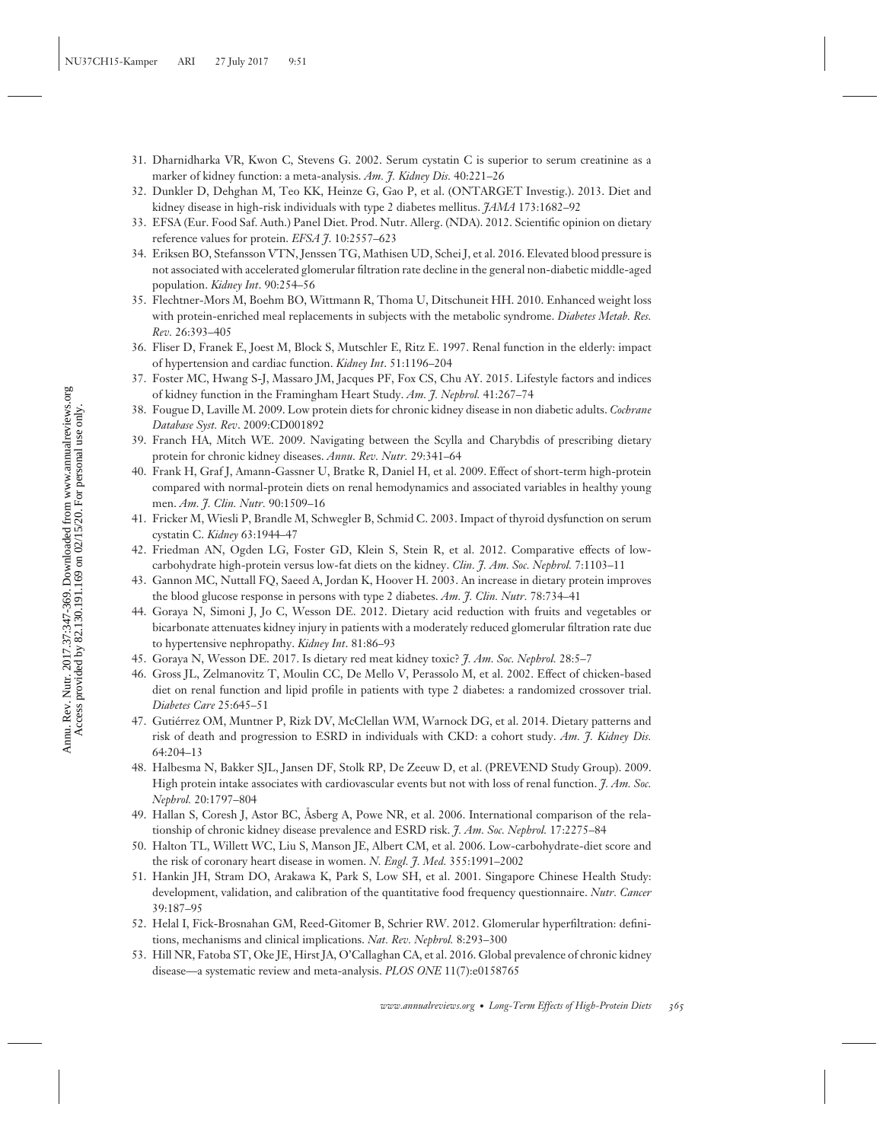- 31. Dharnidharka VR, Kwon C, Stevens G. 2002. Serum cystatin C is superior to serum creatinine as a marker of kidney function: a meta-analysis. *Am. J. Kidney Dis.* 40:221–26
- 32. Dunkler D, Dehghan M, Teo KK, Heinze G, Gao P, et al. (ONTARGET Investig.). 2013. Diet and kidney disease in high-risk individuals with type 2 diabetes mellitus. *JAMA* 173:1682–92
- 33. EFSA (Eur. Food Saf. Auth.) Panel Diet. Prod. Nutr. Allerg. (NDA). 2012. Scientific opinion on dietary reference values for protein. *EFSA J*. 10:2557–623
- 34. Eriksen BO, Stefansson VTN, Jenssen TG, Mathisen UD, Schei J, et al. 2016. Elevated blood pressure is not associated with accelerated glomerular filtration rate decline in the general non-diabetic middle-aged population. *Kidney Int*. 90:254–56
- 35. Flechtner-Mors M, Boehm BO, Wittmann R, Thoma U, Ditschuneit HH. 2010. Enhanced weight loss with protein-enriched meal replacements in subjects with the metabolic syndrome. *Diabetes Metab. Res. Rev.* 26:393–405
- 36. Fliser D, Franek E, Joest M, Block S, Mutschler E, Ritz E. 1997. Renal function in the elderly: impact of hypertension and cardiac function. *Kidney Int*. 51:1196–204
- 37. Foster MC, Hwang S-J, Massaro JM, Jacques PF, Fox CS, Chu AY. 2015. Lifestyle factors and indices of kidney function in the Framingham Heart Study. *Am. J. Nephrol.* 41:267–74
- 38. Fougue D, Laville M. 2009. Low protein diets for chronic kidney disease in non diabetic adults. *Cochrane Database Syst. Rev*. 2009:CD001892
- 39. Franch HA, Mitch WE. 2009. Navigating between the Scylla and Charybdis of prescribing dietary protein for chronic kidney diseases. *Annu. Rev. Nutr.* 29:341–64
- 40. Frank H, Graf J, Amann-Gassner U, Bratke R, Daniel H, et al. 2009. Effect of short-term high-protein compared with normal-protein diets on renal hemodynamics and associated variables in healthy young men. *Am. J. Clin. Nutr.* 90:1509–16
- 41. Fricker M, Wiesli P, Brandle M, Schwegler B, Schmid C. 2003. Impact of thyroid dysfunction on serum cystatin C. *Kidney* 63:1944–47
- 42. Friedman AN, Ogden LG, Foster GD, Klein S, Stein R, et al. 2012. Comparative effects of lowcarbohydrate high-protein versus low-fat diets on the kidney. *Clin. J. Am. Soc. Nephrol.* 7:1103–11
- 43. Gannon MC, Nuttall FQ, Saeed A, Jordan K, Hoover H. 2003. An increase in dietary protein improves the blood glucose response in persons with type 2 diabetes. *Am. J. Clin. Nutr.* 78:734–41
- 44. Goraya N, Simoni J, Jo C, Wesson DE. 2012. Dietary acid reduction with fruits and vegetables or bicarbonate attenuates kidney injury in patients with a moderately reduced glomerular filtration rate due to hypertensive nephropathy. *Kidney Int*. 81:86–93
- 45. Goraya N, Wesson DE. 2017. Is dietary red meat kidney toxic? *J. Am. Soc. Nephrol.* 28:5–7
- 46. Gross JL, Zelmanovitz T, Moulin CC, De Mello V, Perassolo M, et al. 2002. Effect of chicken-based diet on renal function and lipid profile in patients with type 2 diabetes: a randomized crossover trial. *Diabetes Care* 25:645–51
- 47. Gutierrez OM, Muntner P, Rizk DV, McClellan WM, Warnock DG, et al. 2014. Dietary patterns and ´ risk of death and progression to ESRD in individuals with CKD: a cohort study. *Am. J. Kidney Dis.* 64:204–13
- 48. Halbesma N, Bakker SJL, Jansen DF, Stolk RP, De Zeeuw D, et al. (PREVEND Study Group). 2009. High protein intake associates with cardiovascular events but not with loss of renal function. *J. Am. Soc. Nephrol.* 20:1797–804
- 49. Hallan S, Coresh J, Astor BC, Åsberg A, Powe NR, et al. 2006. International comparison of the relationship of chronic kidney disease prevalence and ESRD risk. *J. Am. Soc. Nephrol.* 17:2275–84
- 50. Halton TL, Willett WC, Liu S, Manson JE, Albert CM, et al. 2006. Low-carbohydrate-diet score and the risk of coronary heart disease in women. *N. Engl. J. Med.* 355:1991–2002
- 51. Hankin JH, Stram DO, Arakawa K, Park S, Low SH, et al. 2001. Singapore Chinese Health Study: development, validation, and calibration of the quantitative food frequency questionnaire. *Nutr. Cancer* 39:187–95
- 52. Helal I, Fick-Brosnahan GM, Reed-Gitomer B, Schrier RW. 2012. Glomerular hyperfiltration: definitions, mechanisms and clinical implications. *Nat. Rev. Nephrol.* 8:293–300
- 53. Hill NR, Fatoba ST, Oke JE, Hirst JA, O'Callaghan CA, et al. 2016. Global prevalence of chronic kidney disease—a systematic review and meta-analysis. *PLOS ONE* 11(7):e0158765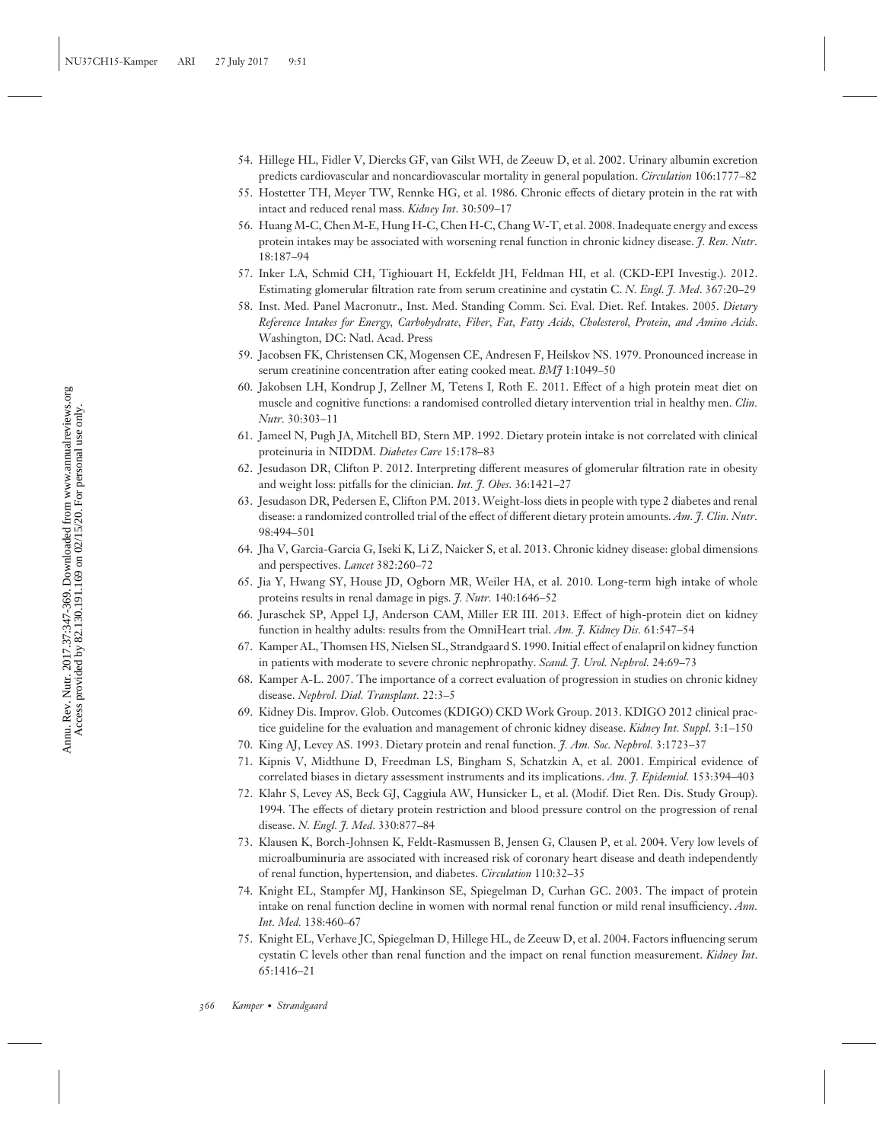- 54. Hillege HL, Fidler V, Diercks GF, van Gilst WH, de Zeeuw D, et al. 2002. Urinary albumin excretion predicts cardiovascular and noncardiovascular mortality in general population. *Circulation* 106:1777–82
- 55. Hostetter TH, Meyer TW, Rennke HG, et al. 1986. Chronic effects of dietary protein in the rat with intact and reduced renal mass. *Kidney Int*. 30:509–17
- 56. Huang M-C, Chen M-E, Hung H-C, Chen H-C, Chang W-T, et al. 2008. Inadequate energy and excess protein intakes may be associated with worsening renal function in chronic kidney disease. *J. Ren. Nutr.* 18:187–94
- 57. Inker LA, Schmid CH, Tighiouart H, Eckfeldt JH, Feldman HI, et al. (CKD-EPI Investig.). 2012. Estimating glomerular filtration rate from serum creatinine and cystatin C. *N. Engl. J. Med*. 367:20–29
- 58. Inst. Med. Panel Macronutr., Inst. Med. Standing Comm. Sci. Eval. Diet. Ref. Intakes. 2005. *Dietary Reference Intakes for Energy, Carbohydrate, Fiber, Fat, Fatty Acids, Cholesterol, Protein, and Amino Acids*. Washington, DC: Natl. Acad. Press
- 59. Jacobsen FK, Christensen CK, Mogensen CE, Andresen F, Heilskov NS. 1979. Pronounced increase in serum creatinine concentration after eating cooked meat. *BMJ* 1:1049–50
- 60. Jakobsen LH, Kondrup J, Zellner M, Tetens I, Roth E. 2011. Effect of a high protein meat diet on muscle and cognitive functions: a randomised controlled dietary intervention trial in healthy men. *Clin. Nutr.* 30:303–11
- 61. Jameel N, Pugh JA, Mitchell BD, Stern MP. 1992. Dietary protein intake is not correlated with clinical proteinuria in NIDDM. *Diabetes Care* 15:178–83
- 62. Jesudason DR, Clifton P. 2012. Interpreting different measures of glomerular filtration rate in obesity and weight loss: pitfalls for the clinician. *Int. J. Obes.* 36:1421–27
- 63. Jesudason DR, Pedersen E, Clifton PM. 2013. Weight-loss diets in people with type 2 diabetes and renal disease: a randomized controlled trial of the effect of different dietary protein amounts. *Am. J. Clin. Nutr.* 98:494–501
- 64. Jha V, Garcia-Garcia G, Iseki K, Li Z, Naicker S, et al. 2013. Chronic kidney disease: global dimensions and perspectives. *Lancet* 382:260–72
- 65. Jia Y, Hwang SY, House JD, Ogborn MR, Weiler HA, et al. 2010. Long-term high intake of whole proteins results in renal damage in pigs. *J. Nutr.* 140:1646–52
- 66. Juraschek SP, Appel LJ, Anderson CAM, Miller ER III. 2013. Effect of high-protein diet on kidney function in healthy adults: results from the OmniHeart trial. *Am. J. Kidney Dis.* 61:547–54
- 67. Kamper AL, Thomsen HS, Nielsen SL, Strandgaard S. 1990. Initial effect of enalapril on kidney function in patients with moderate to severe chronic nephropathy. *Scand. J. Urol. Nephrol.* 24:69–73
- 68. Kamper A-L. 2007. The importance of a correct evaluation of progression in studies on chronic kidney disease. *Nephrol. Dial. Transplant.* 22:3–5
- 69. Kidney Dis. Improv. Glob. Outcomes (KDIGO) CKD Work Group. 2013. KDIGO 2012 clinical practice guideline for the evaluation and management of chronic kidney disease. *Kidney Int. Suppl*. 3:1–150
- 70. King AJ, Levey AS. 1993. Dietary protein and renal function. *J. Am. Soc. Nephrol.* 3:1723–37
- 71. Kipnis V, Midthune D, Freedman LS, Bingham S, Schatzkin A, et al. 2001. Empirical evidence of correlated biases in dietary assessment instruments and its implications. *Am. J. Epidemiol.* 153:394–403
- 72. Klahr S, Levey AS, Beck GJ, Caggiula AW, Hunsicker L, et al. (Modif. Diet Ren. Dis. Study Group). 1994. The effects of dietary protein restriction and blood pressure control on the progression of renal disease. *N. Engl. J. Med*. 330:877–84
- 73. Klausen K, Borch-Johnsen K, Feldt-Rasmussen B, Jensen G, Clausen P, et al. 2004. Very low levels of microalbuminuria are associated with increased risk of coronary heart disease and death independently of renal function, hypertension, and diabetes. *Circulation* 110:32–35
- 74. Knight EL, Stampfer MJ, Hankinson SE, Spiegelman D, Curhan GC. 2003. The impact of protein intake on renal function decline in women with normal renal function or mild renal insufficiency. *Ann. Int. Med.* 138:460–67
- 75. Knight EL, Verhave JC, Spiegelman D, Hillege HL, de Zeeuw D, et al. 2004. Factors influencing serum cystatin C levels other than renal function and the impact on renal function measurement. *Kidney Int*. 65:1416–21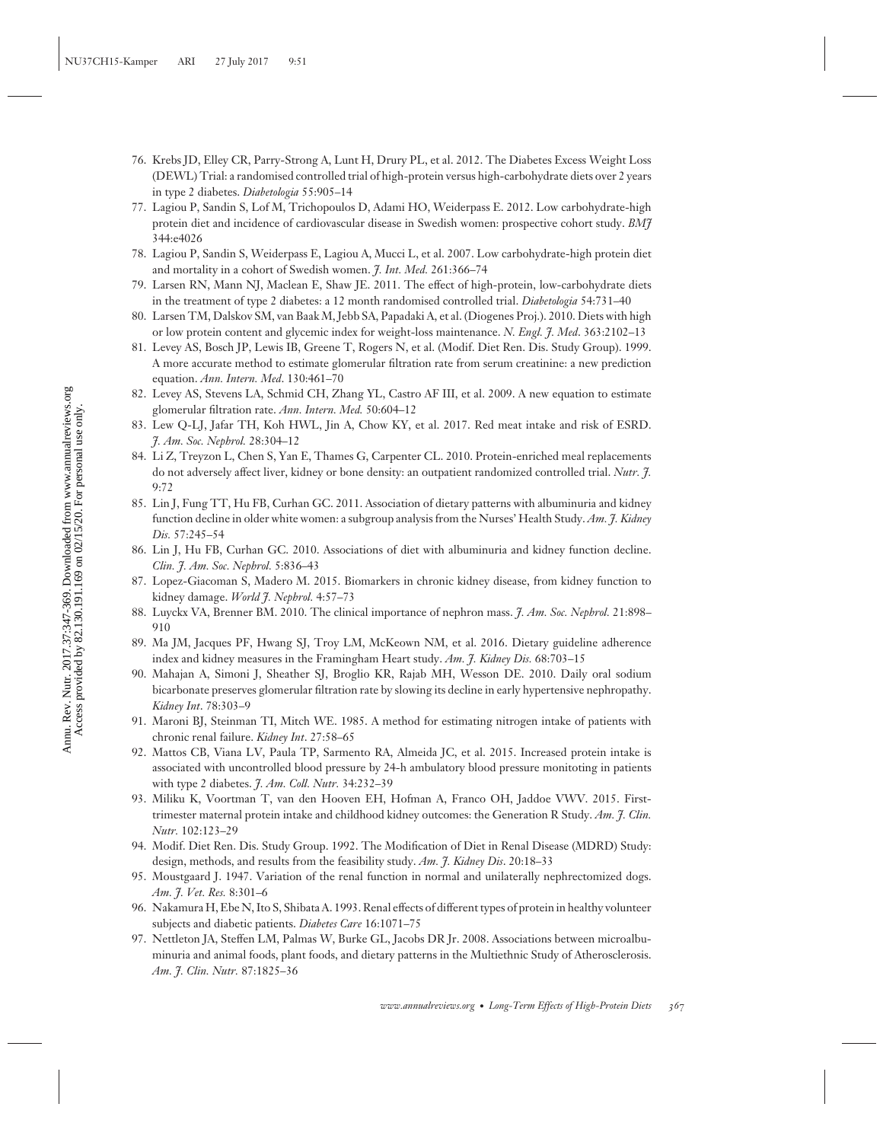- 76. Krebs JD, Elley CR, Parry-Strong A, Lunt H, Drury PL, et al. 2012. The Diabetes Excess Weight Loss (DEWL) Trial: a randomised controlled trial of high-protein versus high-carbohydrate diets over 2 years in type 2 diabetes. *Diabetologia* 55:905–14
- 77. Lagiou P, Sandin S, Lof M, Trichopoulos D, Adami HO, Weiderpass E. 2012. Low carbohydrate-high protein diet and incidence of cardiovascular disease in Swedish women: prospective cohort study. *BMJ* 344:e4026
- 78. Lagiou P, Sandin S, Weiderpass E, Lagiou A, Mucci L, et al. 2007. Low carbohydrate-high protein diet and mortality in a cohort of Swedish women. *J. Int. Med.* 261:366–74
- 79. Larsen RN, Mann NJ, Maclean E, Shaw JE. 2011. The effect of high-protein, low-carbohydrate diets in the treatment of type 2 diabetes: a 12 month randomised controlled trial. *Diabetologia* 54:731–40
- 80. Larsen TM, Dalskov SM, van Baak M, Jebb SA, Papadaki A, et al. (Diogenes Proj.). 2010. Diets with high or low protein content and glycemic index for weight-loss maintenance. *N. Engl. J. Med*. 363:2102–13
- 81. Levey AS, Bosch JP, Lewis IB, Greene T, Rogers N, et al. (Modif. Diet Ren. Dis. Study Group). 1999. A more accurate method to estimate glomerular filtration rate from serum creatinine: a new prediction equation. *Ann. Intern. Med*. 130:461–70
- 82. Levey AS, Stevens LA, Schmid CH, Zhang YL, Castro AF III, et al. 2009. A new equation to estimate glomerular filtration rate. *Ann. Intern. Med.* 50:604–12
- 83. Lew Q-LJ, Jafar TH, Koh HWL, Jin A, Chow KY, et al. 2017. Red meat intake and risk of ESRD. *J. Am. Soc. Nephrol.* 28:304–12
- 84. Li Z, Treyzon L, Chen S, Yan E, Thames G, Carpenter CL. 2010. Protein-enriched meal replacements do not adversely affect liver, kidney or bone density: an outpatient randomized controlled trial. *Nutr. J.* 9:72
- 85. Lin J, Fung TT, Hu FB, Curhan GC. 2011. Association of dietary patterns with albuminuria and kidney function decline in older white women: a subgroup analysis from the Nurses' Health Study. *Am. J. Kidney Dis.* 57:245–54
- 86. Lin J, Hu FB, Curhan GC. 2010. Associations of diet with albuminuria and kidney function decline. *Clin. J. Am. Soc. Nephrol.* 5:836–43
- 87. Lopez-Giacoman S, Madero M. 2015. Biomarkers in chronic kidney disease, from kidney function to kidney damage. *World J. Nephrol.* 4:57–73
- 88. Luyckx VA, Brenner BM. 2010. The clinical importance of nephron mass. *J. Am. Soc. Nephrol.* 21:898– 910
- 89. Ma JM, Jacques PF, Hwang SJ, Troy LM, McKeown NM, et al. 2016. Dietary guideline adherence index and kidney measures in the Framingham Heart study. *Am. J. Kidney Dis.* 68:703–15
- 90. Mahajan A, Simoni J, Sheather SJ, Broglio KR, Rajab MH, Wesson DE. 2010. Daily oral sodium bicarbonate preserves glomerular filtration rate by slowing its decline in early hypertensive nephropathy. *Kidney Int*. 78:303–9
- 91. Maroni BJ, Steinman TI, Mitch WE. 1985. A method for estimating nitrogen intake of patients with chronic renal failure. *Kidney Int*. 27:58–65
- 92. Mattos CB, Viana LV, Paula TP, Sarmento RA, Almeida JC, et al. 2015. Increased protein intake is associated with uncontrolled blood pressure by 24-h ambulatory blood pressure monitoting in patients with type 2 diabetes. *J. Am. Coll. Nutr.* 34:232–39
- 93. Miliku K, Voortman T, van den Hooven EH, Hofman A, Franco OH, Jaddoe VWV. 2015. Firsttrimester maternal protein intake and childhood kidney outcomes: the Generation R Study. *Am. J. Clin. Nutr.* 102:123–29
- 94. Modif. Diet Ren. Dis. Study Group. 1992. The Modification of Diet in Renal Disease (MDRD) Study: design, methods, and results from the feasibility study. *Am. J. Kidney Dis*. 20:18–33
- 95. Moustgaard J. 1947. Variation of the renal function in normal and unilaterally nephrectomized dogs. *Am. J. Vet. Res.* 8:301–6
- 96. Nakamura H, Ebe N, Ito S, Shibata A. 1993. Renal effects of different types of protein in healthy volunteer subjects and diabetic patients. *Diabetes Care* 16:1071–75
- 97. Nettleton JA, Steffen LM, Palmas W, Burke GL, Jacobs DR Jr. 2008. Associations between microalbuminuria and animal foods, plant foods, and dietary patterns in the Multiethnic Study of Atherosclerosis. *Am. J. Clin. Nutr.* 87:1825–36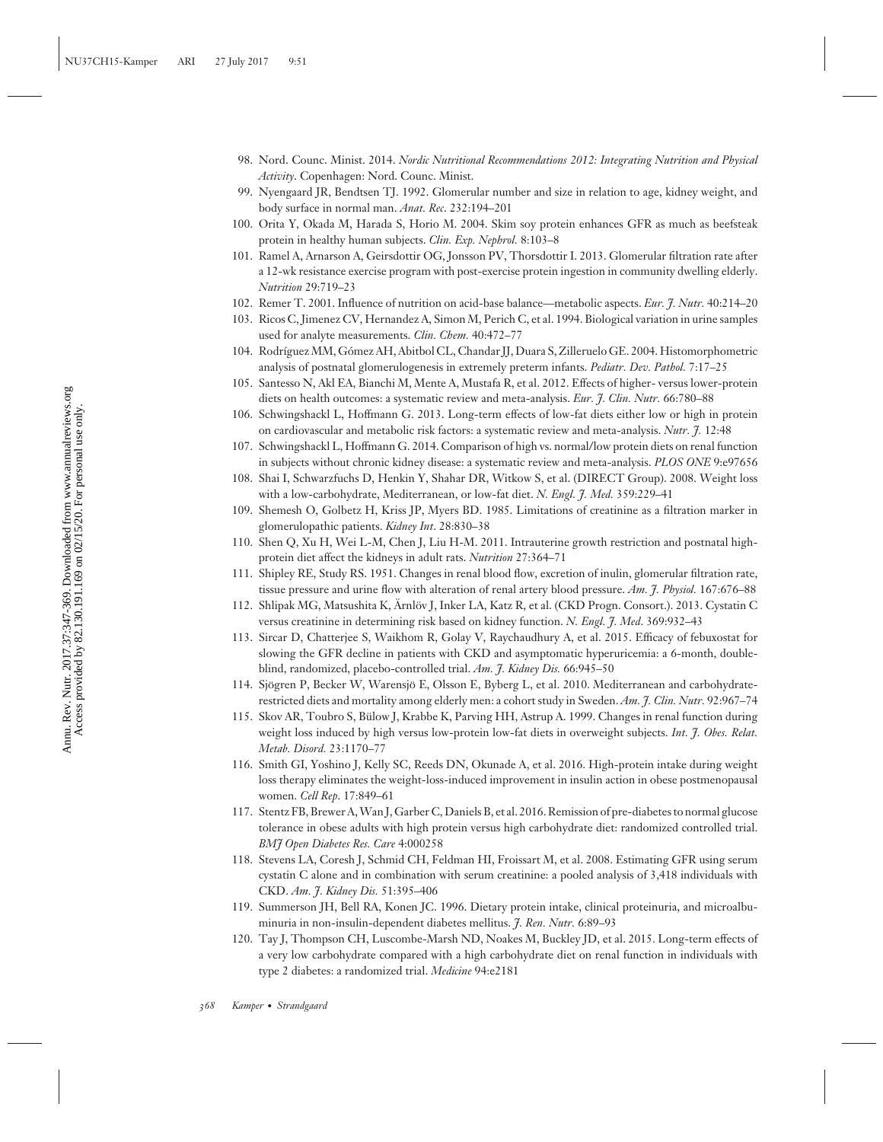- 98. Nord. Counc. Minist. 2014. *Nordic Nutritional Recommendations 2012: Integrating Nutrition and Physical Activity*. Copenhagen: Nord. Counc. Minist.
- 99. Nyengaard JR, Bendtsen TJ. 1992. Glomerular number and size in relation to age, kidney weight, and body surface in normal man. *Anat. Rec*. 232:194–201
- 100. Orita Y, Okada M, Harada S, Horio M. 2004. Skim soy protein enhances GFR as much as beefsteak protein in healthy human subjects. *Clin. Exp. Nephrol.* 8:103–8
- 101. Ramel A, Arnarson A, Geirsdottir OG, Jonsson PV, Thorsdottir I. 2013. Glomerular filtration rate after a 12-wk resistance exercise program with post-exercise protein ingestion in community dwelling elderly. *Nutrition* 29:719–23
- 102. Remer T. 2001. Influence of nutrition on acid-base balance—metabolic aspects. *Eur. J. Nutr.* 40:214–20
- 103. Ricos C, Jimenez CV, Hernandez A, Simon M, Perich C, et al. 1994. Biological variation in urine samples used for analyte measurements. *Clin. Chem.* 40:472–77
- 104. Rodríguez MM, Gómez AH, Abitbol CL, Chandar JJ, Duara S, Zilleruelo GE. 2004. Histomorphometric analysis of postnatal glomerulogenesis in extremely preterm infants. *Pediatr. Dev. Pathol.* 7:17–25
- 105. Santesso N, Akl EA, Bianchi M, Mente A, Mustafa R, et al. 2012. Effects of higher- versus lower-protein diets on health outcomes: a systematic review and meta-analysis. *Eur. J. Clin. Nutr.* 66:780–88
- 106. Schwingshackl L, Hoffmann G. 2013. Long-term effects of low-fat diets either low or high in protein on cardiovascular and metabolic risk factors: a systematic review and meta-analysis. *Nutr. J.* 12:48
- 107. Schwingshackl L, Hoffmann G. 2014. Comparison of high vs. normal/low protein diets on renal function in subjects without chronic kidney disease: a systematic review and meta-analysis. *PLOS ONE* 9:e97656
- 108. Shai I, Schwarzfuchs D, Henkin Y, Shahar DR, Witkow S, et al. (DIRECT Group). 2008. Weight loss with a low-carbohydrate, Mediterranean, or low-fat diet. *N. Engl. J. Med.* 359:229–41
- 109. Shemesh O, Golbetz H, Kriss JP, Myers BD. 1985. Limitations of creatinine as a filtration marker in glomerulopathic patients. *Kidney Int*. 28:830–38
- 110. Shen Q, Xu H, Wei L-M, Chen J, Liu H-M. 2011. Intrauterine growth restriction and postnatal highprotein diet affect the kidneys in adult rats. *Nutrition* 27:364–71
- 111. Shipley RE, Study RS. 1951. Changes in renal blood flow, excretion of inulin, glomerular filtration rate, tissue pressure and urine flow with alteration of renal artery blood pressure. *Am. J. Physiol.* 167:676–88
- 112. Shlipak MG, Matsushita K, Ärnlöv J, Inker LA, Katz R, et al. (CKD Progn. Consort.). 2013. Cystatin C versus creatinine in determining risk based on kidney function. *N. Engl. J. Med*. 369:932–43
- 113. Sircar D, Chatterjee S, Waikhom R, Golay V, Raychaudhury A, et al. 2015. Efficacy of febuxostat for slowing the GFR decline in patients with CKD and asymptomatic hyperuricemia: a 6-month, doubleblind, randomized, placebo-controlled trial. *Am. J. Kidney Dis.* 66:945–50
- 114. Sjögren P, Becker W, Warensjö E, Olsson E, Byberg L, et al. 2010. Mediterranean and carbohydraterestricted diets and mortality among elderly men: a cohort study in Sweden. *Am. J. Clin. Nutr.* 92:967–74
- 115. Skov AR, Toubro S, Bulow J, Krabbe K, Parving HH, Astrup A. 1999. Changes in renal function during ¨ weight loss induced by high versus low-protein low-fat diets in overweight subjects. *Int. J. Obes. Relat. Metab. Disord.* 23:1170–77
- 116. Smith GI, Yoshino J, Kelly SC, Reeds DN, Okunade A, et al. 2016. High-protein intake during weight loss therapy eliminates the weight-loss-induced improvement in insulin action in obese postmenopausal women. *Cell Rep*. 17:849–61
- 117. Stentz FB, Brewer A,Wan J, Garber C, Daniels B, et al. 2016. Remission of pre-diabetes to normal glucose tolerance in obese adults with high protein versus high carbohydrate diet: randomized controlled trial. *BMJ Open Diabetes Res. Care* 4:000258
- 118. Stevens LA, Coresh J, Schmid CH, Feldman HI, Froissart M, et al. 2008. Estimating GFR using serum cystatin C alone and in combination with serum creatinine: a pooled analysis of 3,418 individuals with CKD. *Am. J. Kidney Dis.* 51:395–406
- 119. Summerson JH, Bell RA, Konen JC. 1996. Dietary protein intake, clinical proteinuria, and microalbuminuria in non-insulin-dependent diabetes mellitus. *J. Ren. Nutr.* 6:89–93
- 120. Tay J, Thompson CH, Luscombe-Marsh ND, Noakes M, Buckley JD, et al. 2015. Long-term effects of a very low carbohydrate compared with a high carbohydrate diet on renal function in individuals with type 2 diabetes: a randomized trial. *Medicine* 94:e2181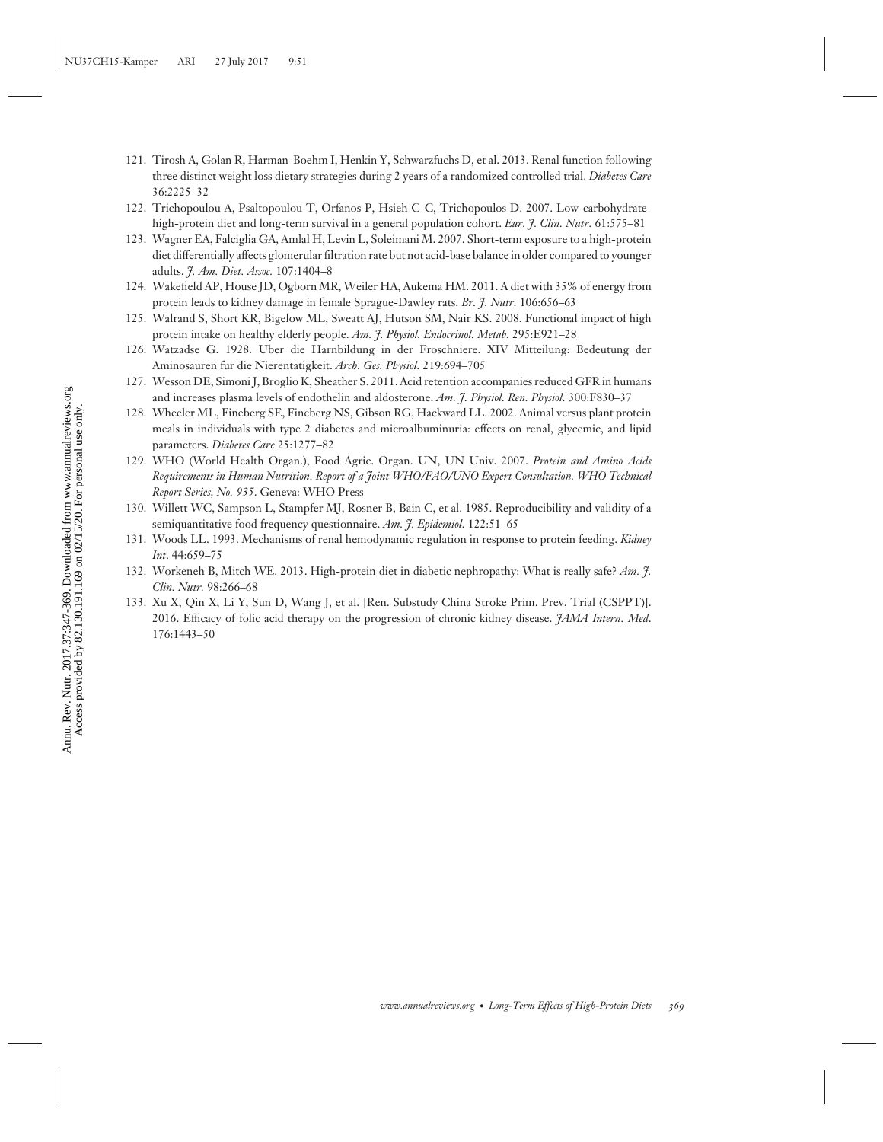- 121. Tirosh A, Golan R, Harman-Boehm I, Henkin Y, Schwarzfuchs D, et al. 2013. Renal function following three distinct weight loss dietary strategies during 2 years of a randomized controlled trial. *Diabetes Care* 36:2225–32
- 122. Trichopoulou A, Psaltopoulou T, Orfanos P, Hsieh C-C, Trichopoulos D. 2007. Low-carbohydratehigh-protein diet and long-term survival in a general population cohort. *Eur. J. Clin. Nutr.* 61:575–81
- 123. Wagner EA, Falciglia GA, Amlal H, Levin L, Soleimani M. 2007. Short-term exposure to a high-protein diet differentially affects glomerular filtration rate but not acid-base balance in older compared to younger adults. *J. Am. Diet. Assoc.* 107:1404–8
- 124. Wakefield AP, House JD, Ogborn MR, Weiler HA, Aukema HM. 2011. A diet with 35% of energy from protein leads to kidney damage in female Sprague-Dawley rats. *Br. J. Nutr.* 106:656–63
- 125. Walrand S, Short KR, Bigelow ML, Sweatt AJ, Hutson SM, Nair KS. 2008. Functional impact of high protein intake on healthy elderly people. *Am. J. Physiol. Endocrinol. Metab.* 295:E921–28
- 126. Watzadse G. 1928. Uber die Harnbildung in der Froschniere. XIV Mitteilung: Bedeutung der Aminosauren fur die Nierentatigkeit. *Arch. Ges. Physiol.* 219:694–705
- 127. Wesson DE, Simoni J, Broglio K, Sheather S. 2011. Acid retention accompanies reduced GFR in humans and increases plasma levels of endothelin and aldosterone. *Am. J. Physiol. Ren. Physiol.* 300:F830–37
- 128. Wheeler ML, Fineberg SE, Fineberg NS, Gibson RG, Hackward LL. 2002. Animal versus plant protein meals in individuals with type 2 diabetes and microalbuminuria: effects on renal, glycemic, and lipid parameters. *Diabetes Care* 25:1277–82
- 129. WHO (World Health Organ.), Food Agric. Organ. UN, UN Univ. 2007. *Protein and Amino Acids Requirements in Human Nutrition. Report of a Joint WHO/FAO/UNO Expert Consultation. WHO Technical Report Series, No. 935*. Geneva: WHO Press
- 130. Willett WC, Sampson L, Stampfer MJ, Rosner B, Bain C, et al. 1985. Reproducibility and validity of a semiquantitative food frequency questionnaire. *Am. J. Epidemiol.* 122:51–65
- 131. Woods LL. 1993. Mechanisms of renal hemodynamic regulation in response to protein feeding. *Kidney Int*. 44:659–75
- 132. Workeneh B, Mitch WE. 2013. High-protein diet in diabetic nephropathy: What is really safe? *Am. J. Clin. Nutr.* 98:266–68
- 133. Xu X, Qin X, Li Y, Sun D, Wang J, et al. [Ren. Substudy China Stroke Prim. Prev. Trial (CSPPT)]. 2016. Efficacy of folic acid therapy on the progression of chronic kidney disease. *JAMA Intern. Med*. 176:1443–50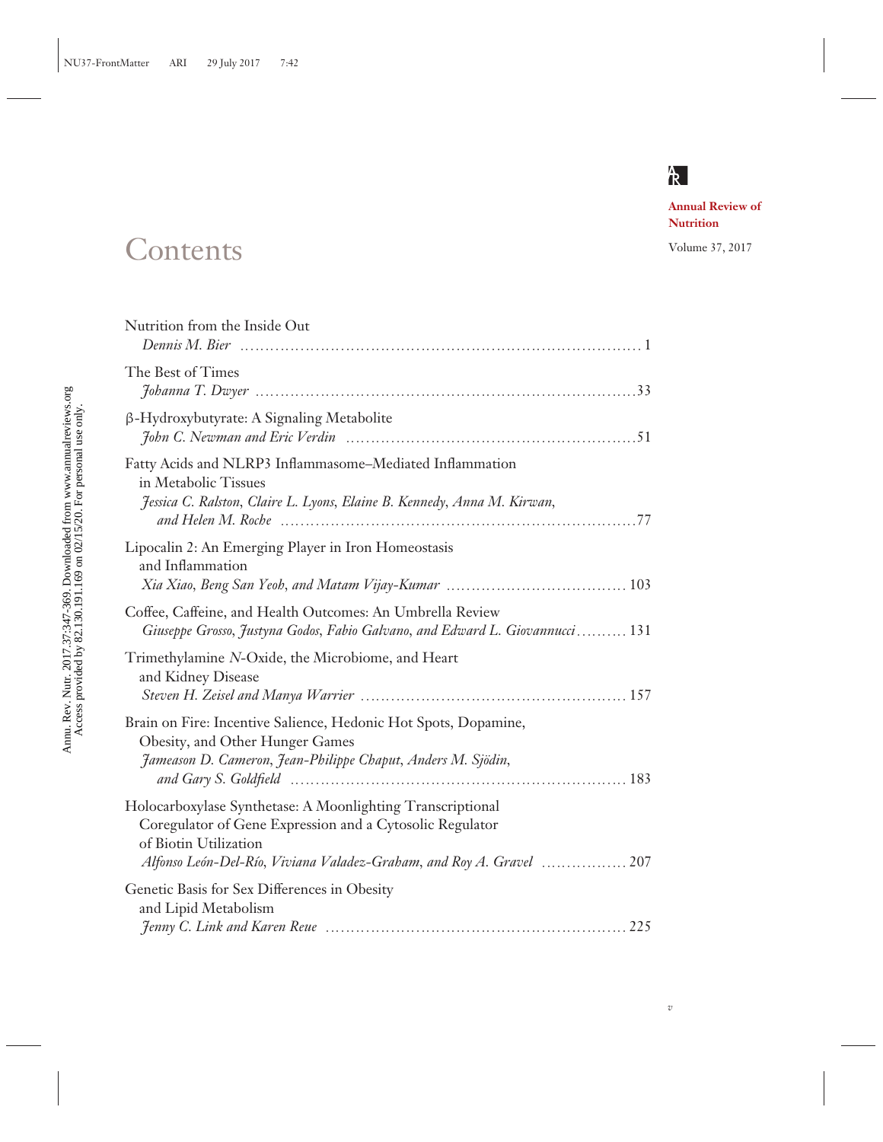

*v*

**Annual Review of Nutrition**

## Contents Volume 37, 2017

| Nutrition from the Inside Out                                                                                                                                                                                           |
|-------------------------------------------------------------------------------------------------------------------------------------------------------------------------------------------------------------------------|
| The Best of Times                                                                                                                                                                                                       |
| β-Hydroxybutyrate: A Signaling Metabolite                                                                                                                                                                               |
| Fatty Acids and NLRP3 Inflammasome-Mediated Inflammation<br>in Metabolic Tissues<br>Jessica C. Ralston, Claire L. Lyons, Elaine B. Kennedy, Anna M. Kirwan,                                                             |
| Lipocalin 2: An Emerging Player in Iron Homeostasis<br>and Inflammation                                                                                                                                                 |
| Coffee, Caffeine, and Health Outcomes: An Umbrella Review<br>Giuseppe Grosso, Justyna Godos, Fabio Galvano, and Edward L. Giovannucci  131                                                                              |
| Trimethylamine N-Oxide, the Microbiome, and Heart<br>and Kidney Disease                                                                                                                                                 |
| Brain on Fire: Incentive Salience, Hedonic Hot Spots, Dopamine,<br>Obesity, and Other Hunger Games<br>Jameason D. Cameron, Jean-Philippe Chaput, Anders M. Sjödin,                                                      |
| Holocarboxylase Synthetase: A Moonlighting Transcriptional<br>Coregulator of Gene Expression and a Cytosolic Regulator<br>of Biotin Utilization<br>Alfonso León-Del-Río, Viviana Valadez-Graham, and Roy A. Gravel  207 |
| Genetic Basis for Sex Differences in Obesity<br>and Lipid Metabolism                                                                                                                                                    |
|                                                                                                                                                                                                                         |